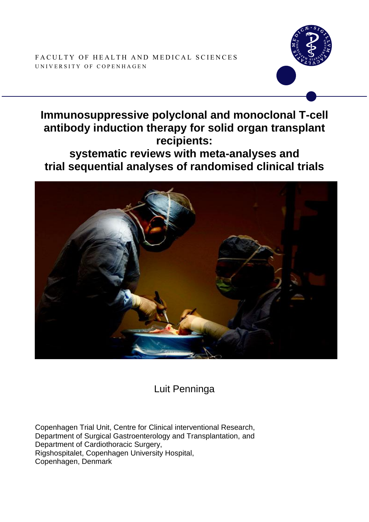



# **Immunosuppressive polyclonal and monoclonal T-cell antibody induction therapy for solid organ transplant recipients:**

**systematic reviews with meta-analyses and trial sequential analyses of randomised clinical trials**



Luit Penninga

Copenhagen Trial Unit, Centre for Clinical interventional Research, Department of Surgical Gastroenterology and Transplantation, and Department of Cardiothoracic Surgery, Rigshospitalet, Copenhagen University Hospital, Copenhagen, Denmark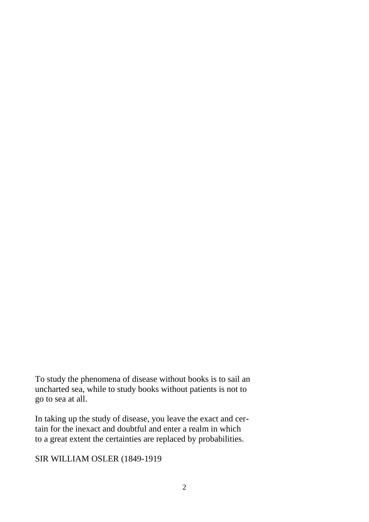To study the phenomena of disease without books is to sail an uncharted sea, while to study books without patients is not to go to sea at all.

In taking up the study of disease, you leave the exact and certain for the inexact and doubtful and enter a realm in which to a great extent the certainties are replaced by probabilities.

SIR WILLIAM OSLER (1849-1919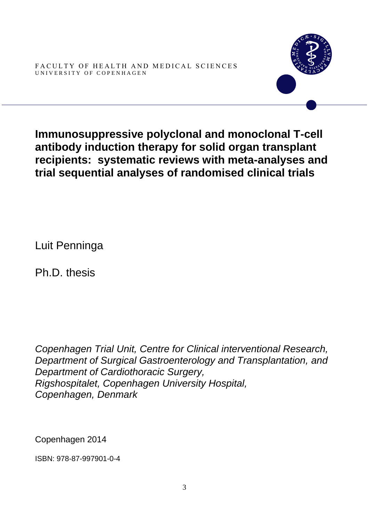FACULTY OF HEALTH AND MEDICAL SCIENCES UNIVERSITY OF COPENHAGEN



**Immunosuppressive polyclonal and monoclonal T-cell antibody induction therapy for solid organ transplant recipients: systematic reviews with meta-analyses and trial sequential analyses of randomised clinical trials**

Luit Penninga

Ph.D. thesis

*Copenhagen Trial Unit, Centre for Clinical interventional Research, Department of Surgical Gastroenterology and Transplantation, and Department of Cardiothoracic Surgery, Rigshospitalet, Copenhagen University Hospital, Copenhagen, Denmark*

Copenhagen 2014

ISBN: 978-87-997901-0-4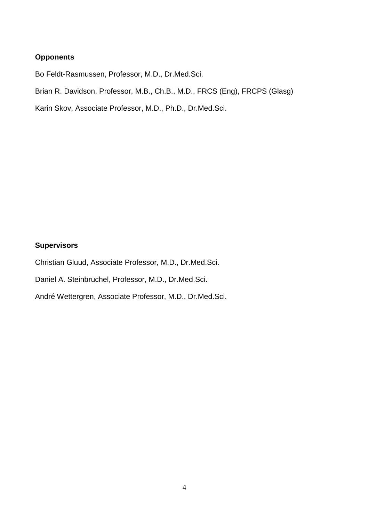## **Opponents**

Bo Feldt-Rasmussen, Professor, M.D., Dr.Med.Sci.

Brian R. Davidson, Professor, M.B., Ch.B., M.D., FRCS (Eng), FRCPS (Glasg)

Karin Skov, Associate Professor, M.D., Ph.D., Dr.Med.Sci.

# **Supervisors**

Christian Gluud, Associate Professor, M.D., Dr.Med.Sci.

Daniel A. Steinbruchel, Professor, M.D., Dr.Med.Sci.

André Wettergren, Associate Professor, M.D., Dr.Med.Sci.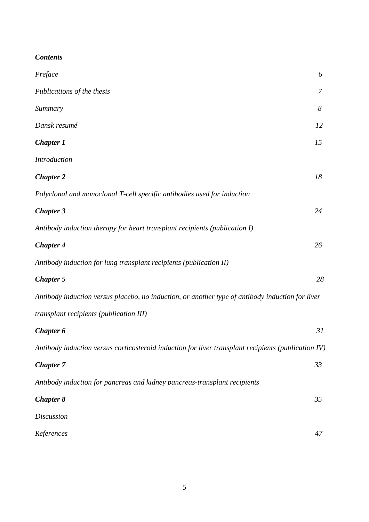| Preface                                                                                             | 6  |
|-----------------------------------------------------------------------------------------------------|----|
| Publications of the thesis                                                                          | 7  |
| Summary                                                                                             | 8  |
| Dansk resumé                                                                                        | 12 |
| <b>Chapter 1</b>                                                                                    | 15 |
| <b>Introduction</b>                                                                                 |    |
| <b>Chapter 2</b>                                                                                    | 18 |
| Polyclonal and monoclonal T-cell specific antibodies used for induction                             |    |
| <b>Chapter 3</b>                                                                                    | 24 |
| Antibody induction therapy for heart transplant recipients (publication I)                          |    |
| <b>Chapter 4</b>                                                                                    | 26 |
| Antibody induction for lung transplant recipients (publication II)                                  |    |
| <b>Chapter 5</b>                                                                                    | 28 |
| Antibody induction versus placebo, no induction, or another type of antibody induction for liver    |    |
| transplant recipients (publication III)                                                             |    |
| Chapter 6                                                                                           | 31 |
| Antibody induction versus corticosteroid induction for liver transplant recipients (publication IV) |    |
| <b>Chapter 7</b>                                                                                    | 33 |
| Antibody induction for pancreas and kidney pancreas-transplant recipients                           |    |
| <b>Chapter 8</b>                                                                                    | 35 |
| <b>Discussion</b>                                                                                   |    |
| References                                                                                          | 47 |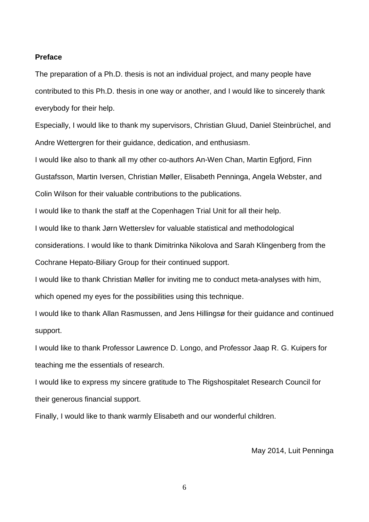#### **Preface**

The preparation of a Ph.D. thesis is not an individual project, and many people have contributed to this Ph.D. thesis in one way or another, and I would like to sincerely thank everybody for their help.

Especially, I would like to thank my supervisors, Christian Gluud, Daniel Steinbrüchel, and Andre Wettergren for their guidance, dedication, and enthusiasm.

I would like also to thank all my other co-authors An-Wen Chan, Martin Egfjord, Finn Gustafsson, Martin Iversen, Christian Møller, Elisabeth Penninga, Angela Webster, and Colin Wilson for their valuable contributions to the publications.

I would like to thank the staff at the Copenhagen Trial Unit for all their help.

I would like to thank Jørn Wetterslev for valuable statistical and methodological

considerations. I would like to thank Dimitrinka Nikolova and Sarah Klingenberg from the Cochrane Hepato-Biliary Group for their continued support.

I would like to thank Christian Møller for inviting me to conduct meta-analyses with him, which opened my eyes for the possibilities using this technique.

I would like to thank Allan Rasmussen, and Jens Hillingsø for their guidance and continued support.

I would like to thank Professor Lawrence D. Longo, and Professor Jaap R. G. Kuipers for teaching me the essentials of research.

I would like to express my sincere gratitude to The Rigshospitalet Research Council for their generous financial support.

Finally, I would like to thank warmly Elisabeth and our wonderful children.

May 2014, Luit Penninga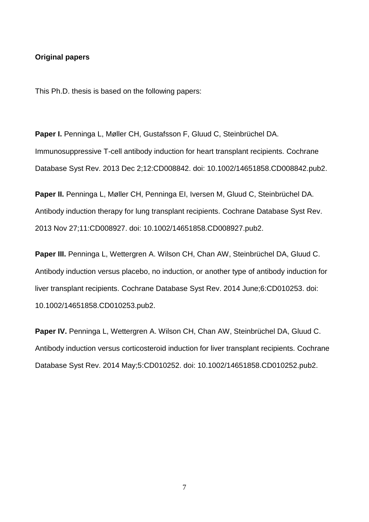#### **Original papers**

This Ph.D. thesis is based on the following papers:

**Paper I.** Penninga L, Møller CH, Gustafsson F, Gluud C, Steinbrüchel DA. Immunosuppressive T-cell antibody induction for heart transplant recipients. Cochrane Database Syst Rev. 2013 Dec 2;12:CD008842. doi: 10.1002/14651858.CD008842.pub2.

**Paper II.** Penninga L, Møller CH, Penninga EI, Iversen M, Gluud C, Steinbrüchel DA. Antibody induction therapy for lung transplant recipients. Cochrane Database Syst Rev. 2013 Nov 27;11:CD008927. doi: 10.1002/14651858.CD008927.pub2.

**Paper III.** Penninga L, Wettergren A. Wilson CH, Chan AW, Steinbrüchel DA, Gluud C. Antibody induction versus placebo, no induction, or another type of antibody induction for liver transplant recipients. Cochrane Database Syst Rev. 2014 June;6:CD010253. doi: 10.1002/14651858.CD010253.pub2.

**Paper IV.** Penninga L, Wettergren A. Wilson CH, Chan AW, Steinbrüchel DA, Gluud C. Antibody induction versus corticosteroid induction for liver transplant recipients. Cochrane Database Syst Rev. 2014 May;5:CD010252. doi: 10.1002/14651858.CD010252.pub2.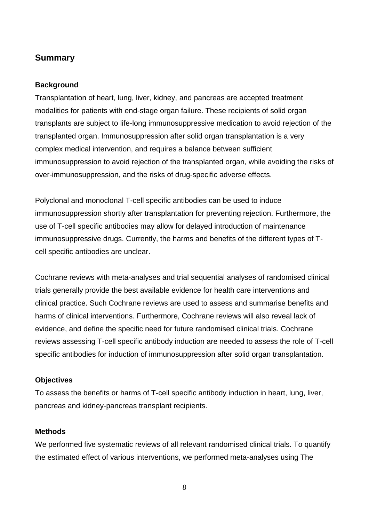# **Summary**

## **Background**

Transplantation of heart, lung, liver, kidney, and pancreas are accepted treatment modalities for patients with end-stage organ failure. These recipients of solid organ transplants are subject to life-long immunosuppressive medication to avoid rejection of the transplanted organ. Immunosuppression after solid organ transplantation is a very complex medical intervention, and requires a balance between sufficient immunosuppression to avoid rejection of the transplanted organ, while avoiding the risks of over-immunosuppression, and the risks of drug-specific adverse effects.

Polyclonal and monoclonal T-cell specific antibodies can be used to induce immunosuppression shortly after transplantation for preventing rejection. Furthermore, the use of T-cell specific antibodies may allow for delayed introduction of maintenance immunosuppressive drugs. Currently, the harms and benefits of the different types of Tcell specific antibodies are unclear.

Cochrane reviews with meta-analyses and trial sequential analyses of randomised clinical trials generally provide the best available evidence for health care interventions and clinical practice. Such Cochrane reviews are used to assess and summarise benefits and harms of clinical interventions. Furthermore, Cochrane reviews will also reveal lack of evidence, and define the specific need for future randomised clinical trials. Cochrane reviews assessing T-cell specific antibody induction are needed to assess the role of T-cell specific antibodies for induction of immunosuppression after solid organ transplantation.

## **Objectives**

To assess the benefits or harms of T-cell specific antibody induction in heart, lung, liver, pancreas and kidney-pancreas transplant recipients.

## **Methods**

We performed five systematic reviews of all relevant randomised clinical trials. To quantify the estimated effect of various interventions, we performed meta-analyses using The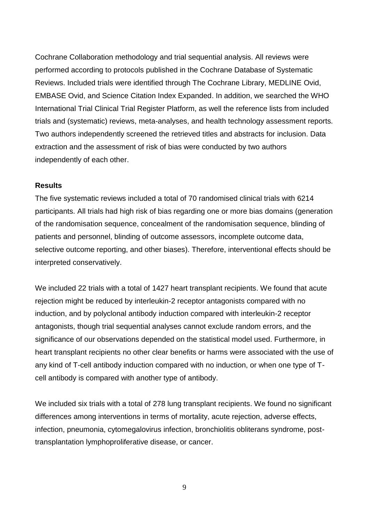Cochrane Collaboration methodology and trial sequential analysis. All reviews were performed according to protocols published in the Cochrane Database of Systematic Reviews. Included trials were identified through The Cochrane Library, MEDLINE Ovid, EMBASE Ovid, and Science Citation Index Expanded. In addition, we searched the WHO International Trial Clinical Trial Register Platform, as well the reference lists from included trials and (systematic) reviews, meta-analyses, and health technology assessment reports. Two authors independently screened the retrieved titles and abstracts for inclusion. Data extraction and the assessment of risk of bias were conducted by two authors independently of each other.

#### **Results**

The five systematic reviews included a total of 70 randomised clinical trials with 6214 participants. All trials had high risk of bias regarding one or more bias domains (generation of the randomisation sequence, concealment of the randomisation sequence, blinding of patients and personnel, blinding of outcome assessors, incomplete outcome data, selective outcome reporting, and other biases). Therefore, interventional effects should be interpreted conservatively.

We included 22 trials with a total of 1427 heart transplant recipients. We found that acute rejection might be reduced by interleukin-2 receptor antagonists compared with no induction, and by polyclonal antibody induction compared with interleukin-2 receptor antagonists, though trial sequential analyses cannot exclude random errors, and the significance of our observations depended on the statistical model used. Furthermore, in heart transplant recipients no other clear benefits or harms were associated with the use of any kind of T-cell antibody induction compared with no induction, or when one type of Tcell antibody is compared with another type of antibody.

We included six trials with a total of 278 lung transplant recipients. We found no significant differences among interventions in terms of mortality, acute rejection, adverse effects, infection, pneumonia, cytomegalovirus infection, bronchiolitis obliterans syndrome, posttransplantation lymphoproliferative disease, or cancer.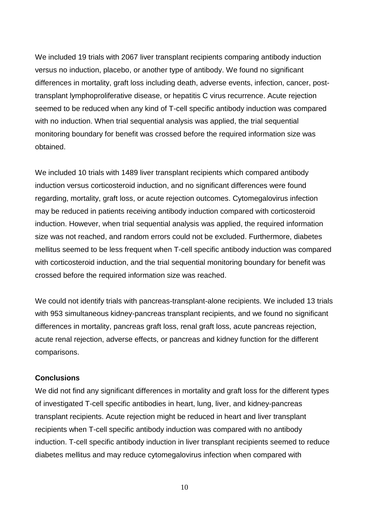We included 19 trials with 2067 liver transplant recipients comparing antibody induction versus no induction, placebo, or another type of antibody. We found no significant differences in mortality, graft loss including death, adverse events, infection, cancer, posttransplant lymphoproliferative disease, or hepatitis C virus recurrence. Acute rejection seemed to be reduced when any kind of T-cell specific antibody induction was compared with no induction. When trial sequential analysis was applied, the trial sequential monitoring boundary for benefit was crossed before the required information size was obtained.

We included 10 trials with 1489 liver transplant recipients which compared antibody induction versus corticosteroid induction, and no significant differences were found regarding, mortality, graft loss, or acute rejection outcomes. Cytomegalovirus infection may be reduced in patients receiving antibody induction compared with corticosteroid induction. However, when trial sequential analysis was applied, the required information size was not reached, and random errors could not be excluded. Furthermore, diabetes mellitus seemed to be less frequent when T-cell specific antibody induction was compared with corticosteroid induction, and the trial sequential monitoring boundary for benefit was crossed before the required information size was reached.

We could not identify trials with pancreas-transplant-alone recipients. We included 13 trials with 953 simultaneous kidney-pancreas transplant recipients, and we found no significant differences in mortality, pancreas graft loss, renal graft loss, acute pancreas rejection, acute renal rejection, adverse effects, or pancreas and kidney function for the different comparisons.

#### **Conclusions**

We did not find any significant differences in mortality and graft loss for the different types of investigated T-cell specific antibodies in heart, lung, liver, and kidney-pancreas transplant recipients. Acute rejection might be reduced in heart and liver transplant recipients when T-cell specific antibody induction was compared with no antibody induction. T-cell specific antibody induction in liver transplant recipients seemed to reduce diabetes mellitus and may reduce cytomegalovirus infection when compared with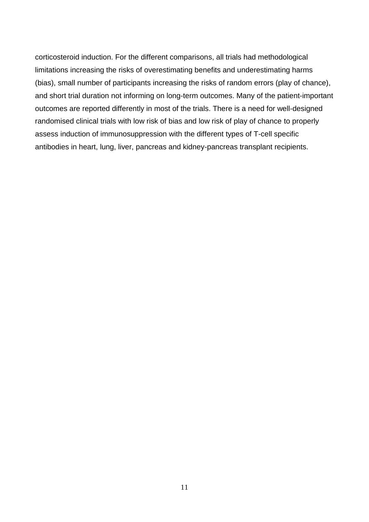corticosteroid induction. For the different comparisons, all trials had methodological limitations increasing the risks of overestimating benefits and underestimating harms (bias), small number of participants increasing the risks of random errors (play of chance), and short trial duration not informing on long-term outcomes. Many of the patient-important outcomes are reported differently in most of the trials. There is a need for well-designed randomised clinical trials with low risk of bias and low risk of play of chance to properly assess induction of immunosuppression with the different types of T-cell specific antibodies in heart, lung, liver, pancreas and kidney-pancreas transplant recipients.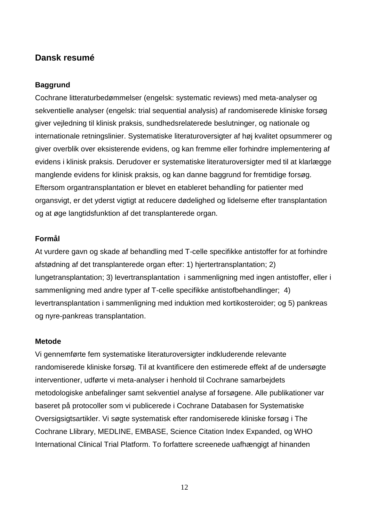# **Dansk resumé**

## **Baggrund**

Cochrane litteraturbedømmelser (engelsk: systematic reviews) med meta-analyser og sekventielle analyser (engelsk: trial sequential analysis) af randomiserede kliniske forsøg giver vejledning til klinisk praksis, sundhedsrelaterede beslutninger, og nationale og internationale retningslinier. Systematiske literaturoversigter af høj kvalitet opsummerer og giver overblik over eksisterende evidens, og kan fremme eller forhindre implementering af evidens i klinisk praksis. Derudover er systematiske literaturoversigter med til at klarlægge manglende evidens for klinisk praksis, og kan danne baggrund for fremtidige forsøg. Eftersom organtransplantation er blevet en etableret behandling for patienter med organsvigt, er det yderst vigtigt at reducere dødelighed og lidelserne efter transplantation og at øge langtidsfunktion af det transplanterede organ.

## **Formål**

At vurdere gavn og skade af behandling med T-celle specifikke antistoffer for at forhindre afstødning af det transplanterede organ efter: 1) hjertertransplantation; 2) lungetransplantation; 3) levertransplantation i sammenligning med ingen antistoffer, eller i sammenligning med andre typer af T-celle specifikke antistofbehandlinger; 4) levertransplantation i sammenligning med induktion med kortikosteroider; og 5) pankreas og nyre-pankreas transplantation.

#### **Metode**

Vi gennemførte fem systematiske literaturoversigter indkluderende relevante randomiserede kliniske forsøg. Til at kvantificere den estimerede effekt af de undersøgte interventioner, udførte vi meta-analyser i henhold til Cochrane samarbejdets metodologiske anbefalinger samt sekventiel analyse af forsøgene. Alle publikationer var baseret på protocoller som vi publicerede i Cochrane Databasen for Systematiske Oversigsigtsartikler. Vi søgte systematisk efter randomiserede kliniske forsøg i The Cochrane Llibrary, MEDLINE, EMBASE, Science Citation Index Expanded, og WHO International Clinical Trial Platform. To forfattere screenede uafhængigt af hinanden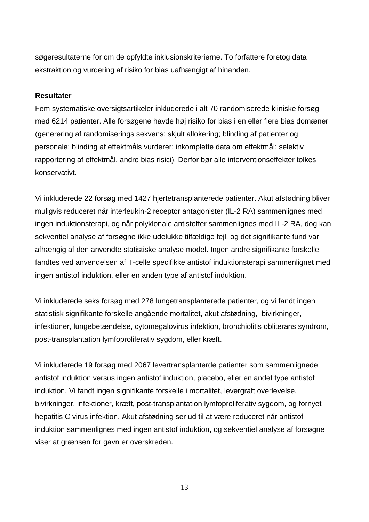søgeresultaterne for om de opfyldte inklusionskriterierne. To forfattere foretog data ekstraktion og vurdering af risiko for bias uafhængigt af hinanden.

## **Resultater**

Fem systematiske oversigtsartikeler inkluderede i alt 70 randomiserede kliniske forsøg med 6214 patienter. Alle forsøgene havde høj risiko for bias i en eller flere bias domæner (generering af randomiserings sekvens; skjult allokering; blinding af patienter og personale; blinding af effektmåls vurderer; inkomplette data om effektmål; selektiv rapportering af effektmål, andre bias risici). Derfor bør alle interventionseffekter tolkes konservativt.

Vi inkluderede 22 forsøg med 1427 hjertetransplanterede patienter. Akut afstødning bliver muligvis reduceret når interleukin-2 receptor antagonister (IL-2 RA) sammenlignes med ingen induktionsterapi, og når polyklonale antistoffer sammenlignes med IL-2 RA, dog kan sekventiel analyse af forsøgne ikke udelukke tilfældige fejl, og det signifikante fund var afhængig af den anvendte statistiske analyse model. Ingen andre signifikante forskelle fandtes ved anvendelsen af T-celle specifikke antistof induktionsterapi sammenlignet med ingen antistof induktion, eller en anden type af antistof induktion.

Vi inkluderede seks forsøg med 278 lungetransplanterede patienter, og vi fandt ingen statistisk signifikante forskelle angående mortalitet, akut afstødning, bivirkninger, infektioner, lungebetændelse, cytomegalovirus infektion, bronchiolitis obliterans syndrom, post-transplantation lymfoproliferativ sygdom, eller kræft.

Vi inkluderede 19 forsøg med 2067 levertransplanterde patienter som sammenlignede antistof induktion versus ingen antistof induktion, placebo, eller en andet type antistof induktion. Vi fandt ingen signifikante forskelle i mortalitet, levergraft overlevelse, bivirkninger, infektioner, kræft, post-transplantation lymfoproliferativ sygdom, og fornyet hepatitis C virus infektion. Akut afstødning ser ud til at være reduceret når antistof induktion sammenlignes med ingen antistof induktion, og sekventiel analyse af forsøgne viser at grænsen for gavn er overskreden.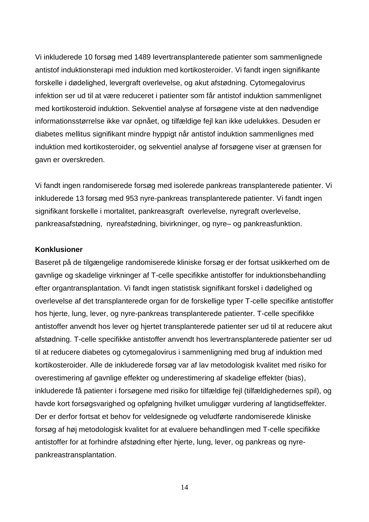Vi inkluderede 10 forsøg med 1489 levertransplanterede patienter som sammenlignede antistof induktionsterapi med induktion med kortikosteroider. Vi fandt ingen signifikante forskelle i dødelighed, levergraft overlevelse, og akut afstødning. Cytomegalovirus infektion ser ud til at være reduceret i patienter som får antistof induktion sammenlignet med kortikosteroid induktion. Sekventiel analyse af forsøgene viste at den nødvendige informationsstørrelse ikke var opnået, og tilfældige fejl kan ikke udelukkes. Desuden er diabetes mellitus signifikant mindre hyppigt når antistof induktion sammenlignes med induktion med kortikosteroider, og sekventiel analyse af forsøgene viser at grænsen for gavn er overskreden.

Vi fandt ingen randomiserede forsøg med isolerede pankreas transplanterede patienter. Vi inkluderede 13 forsøg med 953 nyre-pankreas transplanterede patienter. Vi fandt ingen signifikant forskelle i mortalitet, pankreasgraft overlevelse, nyregraft overlevelse, pankreasafstødning, nyreafstødning, bivirkninger, og nyre– og pankreasfunktion.

#### **Konklusioner**

Baseret på de tilgængelige randomiserede kliniske forsøg er der fortsat usikkerhed om de gavnlige og skadelige virkninger af T-celle specifikke antistoffer for induktionsbehandling efter organtransplantation. Vi fandt ingen statistisk signifikant forskel i dødelighed og overlevelse af det transplanterede organ for de forskellige typer T-celle specifike antistoffer hos hjerte, lung, lever, og nyre-pankreas transplanterede patienter. T-celle specifikke antistoffer anvendt hos lever og hjertet transplanterede patienter ser ud til at reducere akut afstødning. T-celle specifikke antistoffer anvendt hos levertransplanterede patienter ser ud til at reducere diabetes og cytomegalovirus i sammenligning med brug af induktion med kortikosteroider. Alle de inkluderede forsøg var af lav metodologisk kvalitet med risiko for overestimering af gavnlige effekter og underestimering af skadelige effekter (bias), inkluderede få patienter i forsøgene med risiko for tilfældige fejl (tilfældighedernes spil), og havde kort forsøgsvarighed og opfølgning hvilket umuliggør vurdering af langtidseffekter. Der er derfor fortsat et behov for veldesignede og veludførte randomiserede kliniske forsøg af høj metodologisk kvalitet for at evaluere behandlingen med T-celle specifikke antistoffer for at forhindre afstødning efter hjerte, lung, lever, og pankreas og nyrepankreastransplantation.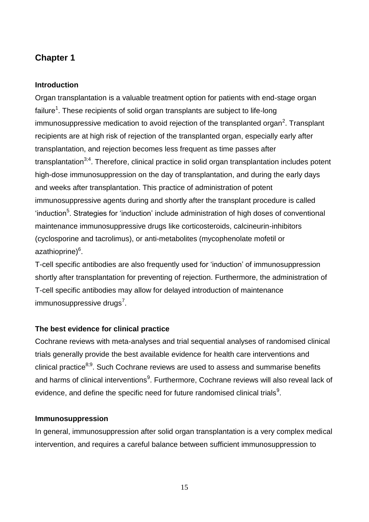# **Chapter 1**

## **Introduction**

Organ transplantation is a valuable treatment option for patients with end-stage organ failure<sup>1</sup>. These recipients of solid organ transplants are subject to life-long immunosuppressive medication to avoid rejection of the transplanted organ<sup>2</sup>. Transplant recipients are at high risk of rejection of the transplanted organ, especially early after transplantation, and rejection becomes less frequent as time passes after transplantation $3,4$ . Therefore, clinical practice in solid organ transplantation includes potent high-dose immunosuppression on the day of transplantation, and during the early days and weeks after transplantation. This practice of administration of potent immunosuppressive agents during and shortly after the transplant procedure is called 'induction<sup>5</sup>. Strategies for 'induction' include administration of high doses of conventional maintenance immunosuppressive drugs like corticosteroids, calcineurin-inhibitors (cyclosporine and tacrolimus), or anti-metabolites (mycophenolate mofetil or azathioprine)<sup>6</sup>.

T-cell specific antibodies are also frequently used for 'induction' of immunosuppression shortly after transplantation for preventing of rejection. Furthermore, the administration of T-cell specific antibodies may allow for delayed introduction of maintenance immunosuppressive drugs<sup>7</sup>.

# **The best evidence for clinical practice**

Cochrane reviews with meta-analyses and trial sequential analyses of randomised clinical trials generally provide the best available evidence for health care interventions and clinical practice<sup>8;9</sup>. Such Cochrane reviews are used to assess and summarise benefits and harms of clinical interventions<sup>9</sup>. Furthermore, Cochrane reviews will also reveal lack of evidence, and define the specific need for future randomised clinical trials<sup>9</sup>.

## **Immunosuppression**

In general, immunosuppression after solid organ transplantation is a very complex medical intervention, and requires a careful balance between sufficient immunosuppression to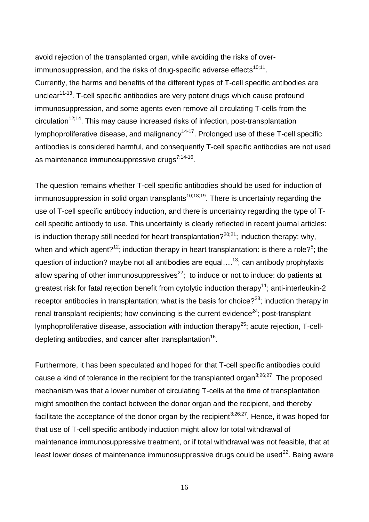avoid rejection of the transplanted organ, while avoiding the risks of overimmunosuppression, and the risks of drug-specific adverse effects $^{10;11}$ . Currently, the harms and benefits of the different types of T-cell specific antibodies are unclear<sup>11-13</sup>. T-cell specific antibodies are very potent drugs which cause profound immunosuppression, and some agents even remove all circulating T-cells from the circulation<sup>12;14</sup>. This may cause increased risks of infection, post-transplantation lymphoproliferative disease, and malignancy<sup>14-17</sup>. Prolonged use of these T-cell specific antibodies is considered harmful, and consequently T-cell specific antibodies are not used as maintenance immunosuppressive drugs<sup>7;14-16</sup>.

The question remains whether T-cell specific antibodies should be used for induction of immunosuppression in solid organ transplants<sup>10;18;19</sup>. There is uncertainty regarding the use of T-cell specific antibody induction, and there is uncertainty regarding the type of Tcell specific antibody to use. This uncertainty is clearly reflected in recent journal articles: is induction therapy still needed for heart transplantation?<sup>20,21</sup>; induction therapy: why, when and which agent?<sup>12</sup>; induction therapy in heart transplantation: is there a role?<sup>5</sup>; the question of induction? maybe not all antibodies are equal... $^{13}$ ; can antibody prophylaxis allow sparing of other immunosuppressives<sup>22</sup>; to induce or not to induce: do patients at greatest risk for fatal rejection benefit from cytolytic induction therapy<sup>11</sup>; anti-interleukin-2 receptor antibodies in transplantation; what is the basis for choice? $23$ ; induction therapy in renal transplant recipients; how convincing is the current evidence<sup>24</sup>; post-transplant lymphoproliferative disease, association with induction therapy<sup>25</sup>; acute rejection,  $T$ -celldepleting antibodies, and cancer after transplantation<sup>16</sup>.

Furthermore, it has been speculated and hoped for that T-cell specific antibodies could cause a kind of tolerance in the recipient for the transplanted organ<sup>3;26;27</sup>. The proposed mechanism was that a lower number of circulating T-cells at the time of transplantation might smoothen the contact between the donor organ and the recipient, and thereby facilitate the acceptance of the donor organ by the recipient<sup>3;26;27</sup>. Hence, it was hoped for that use of T-cell specific antibody induction might allow for total withdrawal of maintenance immunosuppressive treatment, or if total withdrawal was not feasible, that at least lower doses of maintenance immunosuppressive drugs could be used $^{22}$ . Being aware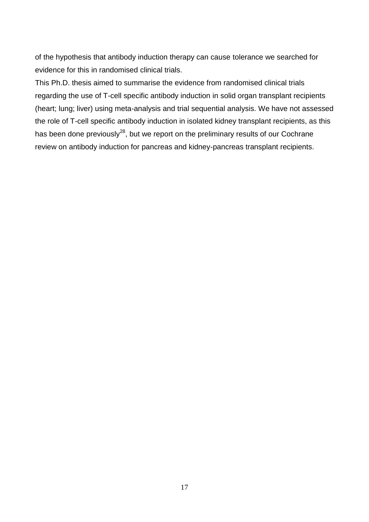of the hypothesis that antibody induction therapy can cause tolerance we searched for evidence for this in randomised clinical trials.

This Ph.D. thesis aimed to summarise the evidence from randomised clinical trials regarding the use of T-cell specific antibody induction in solid organ transplant recipients (heart; lung; liver) using meta-analysis and trial sequential analysis. We have not assessed the role of T-cell specific antibody induction in isolated kidney transplant recipients, as this has been done previously<sup>28</sup>, but we report on the preliminary results of our Cochrane review on antibody induction for pancreas and kidney-pancreas transplant recipients.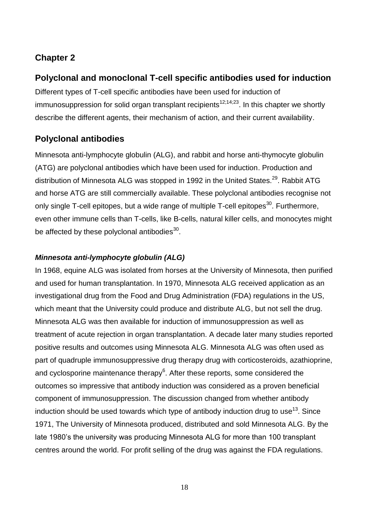# **Chapter 2**

# **Polyclonal and monoclonal T-cell specific antibodies used for induction**

Different types of T-cell specific antibodies have been used for induction of immunosuppression for solid organ transplant recipients<sup>12;14;23</sup>. In this chapter we shortly describe the different agents, their mechanism of action, and their current availability.

# **Polyclonal antibodies**

Minnesota anti-lymphocyte globulin (ALG), and rabbit and horse anti-thymocyte globulin (ATG) are polyclonal antibodies which have been used for induction. Production and distribution of Minnesota ALG was stopped in 1992 in the United States.<sup>29</sup>. Rabbit ATG and horse ATG are still commercially available. These polyclonal antibodies recognise not only single T-cell epitopes, but a wide range of multiple T-cell epitopes<sup>30</sup>. Furthermore, even other immune cells than T-cells, like B-cells, natural killer cells, and monocytes might be affected by these polyclonal antibodies<sup>30</sup>.

# *Minnesota anti-lymphocyte globulin (ALG)*

In 1968, equine ALG was isolated from horses at the University of Minnesota, then purified and used for human transplantation. In 1970, Minnesota ALG received application as an investigational drug from the Food and Drug Administration (FDA) regulations in the US, which meant that the University could produce and distribute ALG, but not sell the drug. Minnesota ALG was then available for induction of immunosuppression as well as treatment of acute rejection in organ transplantation. A decade later many studies reported positive results and outcomes using Minnesota ALG. Minnesota ALG was often used as part of quadruple immunosuppressive drug therapy drug with corticosteroids, azathioprine, and cyclosporine maintenance therapy $6$ . After these reports, some considered the outcomes so impressive that antibody induction was considered as a proven beneficial component of immunosuppression. The discussion changed from whether antibody induction should be used towards which type of antibody induction drug to use<sup>13</sup>. Since 1971, The University of Minnesota produced, distributed and sold Minnesota ALG. By the late 1980's the university was producing Minnesota ALG for more than 100 transplant centres around the world. For profit selling of the drug was against the FDA regulations.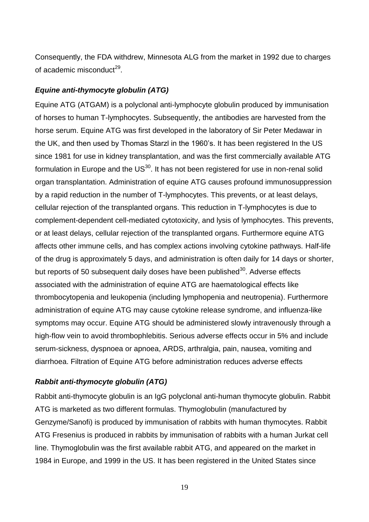Consequently, the FDA withdrew, Minnesota ALG from the market in 1992 due to charges of academic misconduct<sup>29</sup>.

## *Equine anti-thymocyte globulin (ATG)*

Equine ATG (ATGAM) is a polyclonal anti-lymphocyte globulin produced by immunisation of horses to human T-lymphocytes. Subsequently, the antibodies are harvested from the horse serum. Equine ATG was first developed in the laboratory of Sir Peter Medawar in the UK, and then used by Thomas Starzl in the 1960's. It has been registered In the US since 1981 for use in kidney transplantation, and was the first commercially available ATG formulation in Europe and the US $^{30}$ . It has not been registered for use in non-renal solid organ transplantation. Administration of equine ATG causes profound immunosuppression by a rapid reduction in the number of T-lymphocytes. This prevents, or at least delays, cellular rejection of the transplanted organs. This reduction in T-lymphocytes is due to complement-dependent cell-mediated cytotoxicity, and lysis of lymphocytes. This prevents, or at least delays, cellular rejection of the transplanted organs. Furthermore equine ATG affects other immune cells, and has complex actions involving cytokine pathways. Half-life of the drug is approximately 5 days, and administration is often daily for 14 days or shorter, but reports of 50 subsequent daily doses have been published $30$ . Adverse effects associated with the administration of equine ATG are haematological effects like thrombocytopenia and leukopenia (including lymphopenia and neutropenia). Furthermore administration of equine ATG may cause cytokine release syndrome, and influenza-like symptoms may occur. Equine ATG should be administered slowly intravenously through a high-flow vein to avoid thrombophlebitis. Serious adverse effects occur in 5% and include serum-sickness, dyspnoea or apnoea, ARDS, arthralgia, pain, nausea, vomiting and diarrhoea. Filtration of Equine ATG before administration reduces adverse effects

## *Rabbit anti-thymocyte globulin (ATG)*

Rabbit anti-thymocyte globulin is an IgG polyclonal anti-human thymocyte globulin. Rabbit ATG is marketed as two different formulas. Thymoglobulin (manufactured by Genzyme/Sanofi) is produced by immunisation of rabbits with human thymocytes. Rabbit ATG Fresenius is produced in rabbits by immunisation of rabbits with a human Jurkat cell line. Thymoglobulin was the first available rabbit ATG, and appeared on the market in 1984 in Europe, and 1999 in the US. It has been registered in the United States since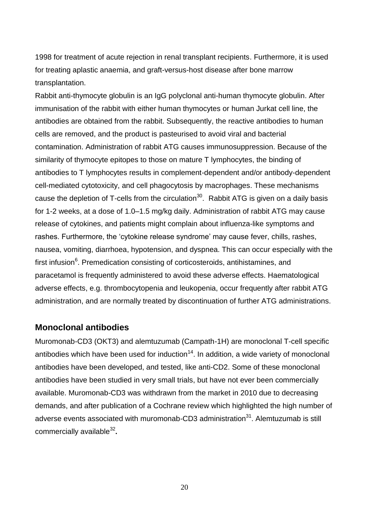1998 for treatment of acute rejection in renal transplant recipients. Furthermore, it is used for treating aplastic anaemia, and graft-versus-host disease after bone marrow transplantation.

Rabbit anti-thymocyte globulin is an IgG polyclonal anti-human thymocyte globulin. After immunisation of the rabbit with either human thymocytes or human Jurkat cell line, the antibodies are obtained from the rabbit. Subsequently, the reactive antibodies to human cells are removed, and the product is pasteurised to avoid viral and bacterial contamination. Administration of rabbit ATG causes immunosuppression. Because of the similarity of thymocyte epitopes to those on mature T lymphocytes, the binding of antibodies to T lymphocytes results in complement-dependent and/or antibody-dependent cell-mediated cytotoxicity, and cell phagocytosis by macrophages. These mechanisms cause the depletion of T-cells from the circulation<sup>30</sup>. Rabbit ATG is given on a daily basis for 1-2 weeks, at a dose of 1.0–1.5 mg/kg daily. Administration of rabbit ATG may cause release of cytokines, and patients might complain about influenza-like symptoms and rashes. Furthermore, the 'cytokine release syndrome' may cause fever, chills, rashes, nausea, vomiting, diarrhoea, hypotension, and dyspnea. This can occur especially with the first infusion<sup>6</sup>. Premedication consisting of corticosteroids, antihistamines, and paracetamol is frequently administered to avoid these adverse effects. Haematological adverse effects, e.g. thrombocytopenia and leukopenia, occur frequently after rabbit ATG administration, and are normally treated by discontinuation of further ATG administrations.

## **Monoclonal antibodies**

Muromonab-CD3 (OKT3) and alemtuzumab (Campath-1H) are monoclonal T-cell specific antibodies which have been used for induction<sup>14</sup>. In addition, a wide variety of monoclonal antibodies have been developed, and tested, like anti-CD2. Some of these monoclonal antibodies have been studied in very small trials, but have not ever been commercially available. Muromonab-CD3 was withdrawn from the market in 2010 due to decreasing demands, and after publication of a Cochrane review which highlighted the high number of adverse events associated with muromonab-CD3 administration $31$ . Alemtuzumab is still commercially available<sup>32</sup>.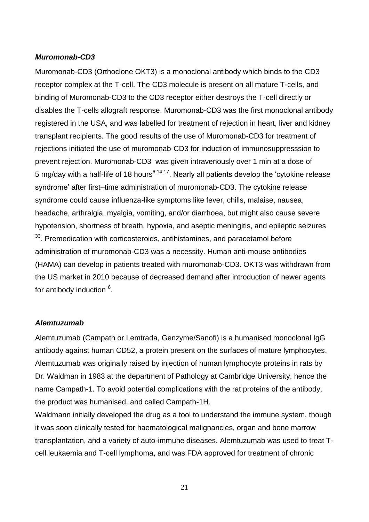### *Muromonab-CD3*

Muromonab-CD3 (Orthoclone OKT3) is a monoclonal antibody which binds to the CD3 receptor complex at the T-cell. The CD3 molecule is present on all mature T-cells, and binding of Muromonab-CD3 to the CD3 receptor either destroys the T-cell directly or disables the T-cells allograft response. Muromonab-CD3 was the first monoclonal antibody registered in the USA, and was labelled for treatment of rejection in heart, liver and kidney transplant recipients. The good results of the use of Muromonab-CD3 for treatment of rejections initiated the use of muromonab-CD3 for induction of immunosuppresssion to prevent rejection. Muromonab-CD3 was given intravenously over 1 min at a dose of 5 mg/day with a half-life of 18 hours<sup>6;14;17</sup>. Nearly all patients develop the 'cytokine release syndrome' after first–time administration of muromonab-CD3. The cytokine release syndrome could cause influenza-like symptoms like fever, chills, malaise, nausea, headache, arthralgia, myalgia, vomiting, and/or diarrhoea, but might also cause severe hypotension, shortness of breath, hypoxia, and aseptic meningitis, and epileptic seizures <sup>33</sup>. Premedication with corticosteroids, antihistamines, and paracetamol before administration of muromonab-CD3 was a necessity. Human anti-mouse antibodies (HAMA) can develop in patients treated with muromonab-CD3. OKT3 was withdrawn from the US market in 2010 because of decreased demand after introduction of newer agents for antibody induction <sup>6</sup>.

#### *Alemtuzumab*

Alemtuzumab (Campath or Lemtrada, Genzyme/Sanofi) is a humanised monoclonal IgG antibody against human CD52, a protein present on the surfaces of mature lymphocytes. Alemtuzumab was originally raised by injection of human lymphocyte proteins in rats by Dr. Waldman in 1983 at the department of Pathology at Cambridge University, hence the name Campath-1. To avoid potential complications with the rat proteins of the antibody, the product was humanised, and called Campath-1H.

Waldmann initially developed the drug as a tool to understand the immune system, though it was soon clinically tested for haematological malignancies, organ and bone marrow transplantation, and a variety of auto-immune diseases. Alemtuzumab was used to treat Tcell leukaemia and T-cell lymphoma, and was FDA approved for treatment of chronic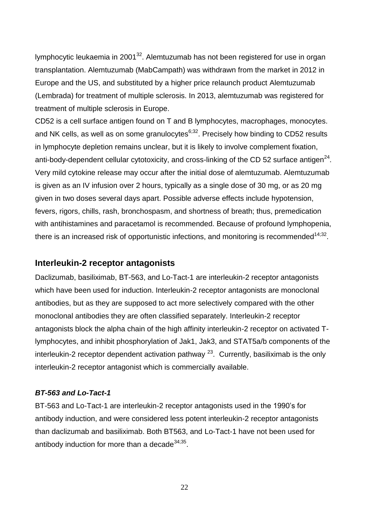lymphocytic leukaemia in 2001 $32$ . Alemtuzumab has not been registered for use in organ transplantation. Alemtuzumab (MabCampath) was withdrawn from the market in 2012 in Europe and the US, and substituted by a higher price relaunch product Alemtuzumab (Lembrada) for treatment of multiple sclerosis. In 2013, alemtuzumab was registered for treatment of multiple sclerosis in Europe.

CD52 is a cell surface antigen found on T and B lymphocytes, macrophages, monocytes. and NK cells, as well as on some granulocytes $6,32$ . Precisely how binding to CD52 results in lymphocyte depletion remains unclear, but it is likely to involve complement fixation, anti-body-dependent cellular cytotoxicity, and cross-linking of the CD 52 surface antigen<sup>24</sup>. Very mild cytokine release may occur after the initial dose of alemtuzumab. Alemtuzumab is given as an IV infusion over 2 hours, typically as a single dose of 30 mg, or as 20 mg given in two doses several days apart. Possible adverse effects include hypotension, fevers, rigors, chills, rash, bronchospasm, and shortness of breath; thus, premedication with antihistamines and paracetamol is recommended. Because of profound lymphopenia, there is an increased risk of opportunistic infections, and monitoring is recommended<sup>14;32</sup>.

# **Interleukin-2 receptor antagonists**

Daclizumab, basiliximab, BT-563, and Lo-Tact-1 are interleukin-2 receptor antagonists which have been used for induction. Interleukin-2 receptor antagonists are monoclonal antibodies, but as they are supposed to act more selectively compared with the other monoclonal antibodies they are often classified separately. Interleukin-2 receptor antagonists block the alpha chain of the high affinity interleukin-2 receptor on activated Tlymphocytes, and inhibit phosphorylation of Jak1, Jak3, and STAT5a/b components of the interleukin-2 receptor dependent activation pathway  $^{23}$ . Currently, basiliximab is the only interleukin-2 receptor antagonist which is commercially available.

## *BT-563 and Lo-Tact-1*

BT-563 and Lo-Tact-1 are interleukin-2 receptor antagonists used in the 1990's for antibody induction, and were considered less potent interleukin-2 receptor antagonists than daclizumab and basiliximab. Both BT563, and Lo-Tact-1 have not been used for antibody induction for more than a decade $^{34,35}$ .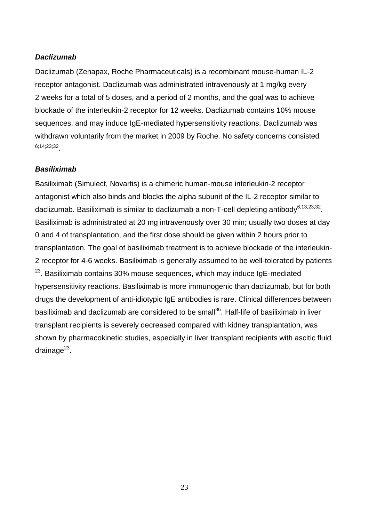## *Daclizumab*

Daclizumab (Zenapax, Roche Pharmaceuticals) is a recombinant mouse-human IL-2 receptor antagonist. Daclizumab was administrated intravenously at 1 mg/kg every 2 weeks for a total of 5 doses, and a period of 2 months, and the goal was to achieve blockade of the interleukin-2 receptor for 12 weeks. Daclizumab contains 10% mouse sequences, and may induce IgE-mediated hypersensitivity reactions. Daclizumab was withdrawn voluntarily from the market in 2009 by Roche. No safety concerns consisted 6;14;23;32 .

#### *Basiliximab*

Basiliximab (Simulect, Novartis) is a chimeric human-mouse interleukin-2 receptor antagonist which also binds and blocks the alpha subunit of the IL-2 receptor similar to daclizumab. Basiliximab is similar to daclizumab a non-T-cell depleting antibody<sup>6;13;23;32</sup>. Basiliximab is administrated at 20 mg intravenously over 30 min; usually two doses at day 0 and 4 of transplantation, and the first dose should be given within 2 hours prior to transplantation. The goal of basiliximab treatment is to achieve blockade of the interleukin-2 receptor for 4-6 weeks. Basiliximab is generally assumed to be well-tolerated by patients <sup>23</sup>. Basiliximab contains 30% mouse sequences, which may induce IgE-mediated hypersensitivity reactions. Basiliximab is more immunogenic than daclizumab, but for both drugs the development of anti-idiotypic IgE antibodies is rare. Clinical differences between basiliximab and daclizumab are considered to be small<sup>36</sup>. Half-life of basiliximab in liver transplant recipients is severely decreased compared with kidney transplantation, was shown by pharmacokinetic studies, especially in liver transplant recipients with ascitic fluid drainage<sup>23</sup>.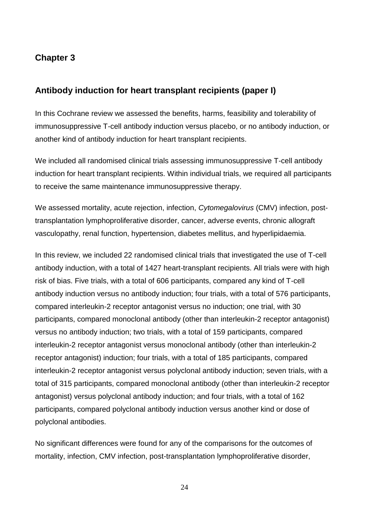# **Chapter 3**

# **Antibody induction for heart transplant recipients (paper I)**

In this Cochrane review we assessed the benefits, harms, feasibility and tolerability of immunosuppressive T-cell antibody induction versus placebo, or no antibody induction, or another kind of antibody induction for heart transplant recipients.

We included all randomised clinical trials assessing immunosuppressive T-cell antibody induction for heart transplant recipients. Within individual trials, we required all participants to receive the same maintenance immunosuppressive therapy.

We assessed mortality, acute rejection, infection, *Cytomegalovirus* (CMV) infection, posttransplantation lymphoproliferative disorder, cancer, adverse events, chronic allograft vasculopathy, renal function, hypertension, diabetes mellitus, and hyperlipidaemia.

In this review, we included 22 randomised clinical trials that investigated the use of T-cell antibody induction, with a total of 1427 heart-transplant recipients. All trials were with high risk of bias. Five trials, with a total of 606 participants, compared any kind of T-cell antibody induction versus no antibody induction; four trials, with a total of 576 participants, compared interleukin-2 receptor antagonist versus no induction; one trial, with 30 participants, compared monoclonal antibody (other than interleukin-2 receptor antagonist) versus no antibody induction; two trials, with a total of 159 participants, compared interleukin-2 receptor antagonist versus monoclonal antibody (other than interleukin-2 receptor antagonist) induction; four trials, with a total of 185 participants, compared interleukin-2 receptor antagonist versus polyclonal antibody induction; seven trials, with a total of 315 participants, compared monoclonal antibody (other than interleukin-2 receptor antagonist) versus polyclonal antibody induction; and four trials, with a total of 162 participants, compared polyclonal antibody induction versus another kind or dose of polyclonal antibodies.

No significant differences were found for any of the comparisons for the outcomes of mortality, infection, CMV infection, post-transplantation lymphoproliferative disorder,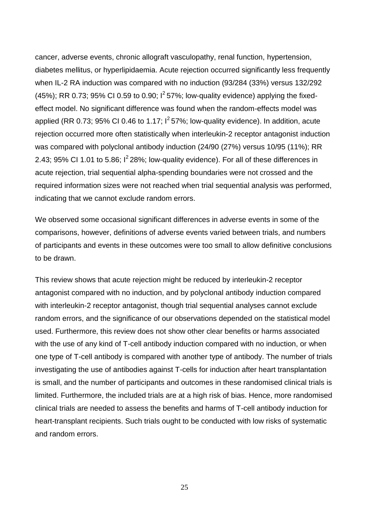cancer, adverse events, chronic allograft vasculopathy, renal function, hypertension, diabetes mellitus, or hyperlipidaemia. Acute rejection occurred significantly less frequently when IL-2 RA induction was compared with no induction (93/284 (33%) versus 132/292 (45%); RR 0.73; 95% CI 0.59 to 0.90;  $1^2$  57%; low-quality evidence) applying the fixedeffect model. No significant difference was found when the random-effects model was applied (RR 0.73; 95% CI 0.46 to 1.17;  $I^2$  57%; low-quality evidence). In addition, acute rejection occurred more often statistically when interleukin-2 receptor antagonist induction was compared with polyclonal antibody induction (24/90 (27%) versus 10/95 (11%); RR 2.43; 95% CI 1.01 to 5.86;  $I^2$  28%; low-quality evidence). For all of these differences in acute rejection, trial sequential alpha-spending boundaries were not crossed and the required information sizes were not reached when trial sequential analysis was performed, indicating that we cannot exclude random errors.

We observed some occasional significant differences in adverse events in some of the comparisons, however, definitions of adverse events varied between trials, and numbers of participants and events in these outcomes were too small to allow definitive conclusions to be drawn.

This review shows that acute rejection might be reduced by interleukin-2 receptor antagonist compared with no induction, and by polyclonal antibody induction compared with interleukin-2 receptor antagonist, though trial sequential analyses cannot exclude random errors, and the significance of our observations depended on the statistical model used. Furthermore, this review does not show other clear benefits or harms associated with the use of any kind of T-cell antibody induction compared with no induction, or when one type of T-cell antibody is compared with another type of antibody. The number of trials investigating the use of antibodies against T-cells for induction after heart transplantation is small, and the number of participants and outcomes in these randomised clinical trials is limited. Furthermore, the included trials are at a high risk of bias. Hence, more randomised clinical trials are needed to assess the benefits and harms of T-cell antibody induction for heart-transplant recipients. Such trials ought to be conducted with low risks of systematic and random errors.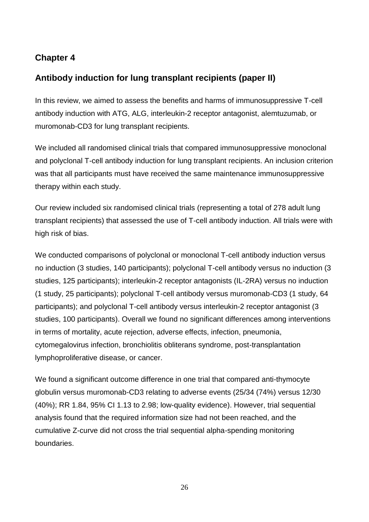# **Chapter 4**

# **Antibody induction for lung transplant recipients (paper II)**

In this review, we aimed to assess the benefits and harms of immunosuppressive T-cell antibody induction with ATG, ALG, interleukin-2 receptor antagonist, alemtuzumab, or muromonab-CD3 for lung transplant recipients.

We included all randomised clinical trials that compared immunosuppressive monoclonal and polyclonal T-cell antibody induction for lung transplant recipients. An inclusion criterion was that all participants must have received the same maintenance immunosuppressive therapy within each study.

Our review included six randomised clinical trials (representing a total of 278 adult lung transplant recipients) that assessed the use of T-cell antibody induction. All trials were with high risk of bias.

We conducted comparisons of polyclonal or monoclonal T-cell antibody induction versus no induction (3 studies, 140 participants); polyclonal T-cell antibody versus no induction (3 studies, 125 participants); interleukin-2 receptor antagonists (IL-2RA) versus no induction (1 study, 25 participants); polyclonal T-cell antibody versus muromonab-CD3 (1 study, 64 participants); and polyclonal T-cell antibody versus interleukin-2 receptor antagonist (3 studies, 100 participants). Overall we found no significant differences among interventions in terms of mortality, acute rejection, adverse effects, infection, pneumonia, cytomegalovirus infection, bronchiolitis obliterans syndrome, post-transplantation lymphoproliferative disease, or cancer.

We found a significant outcome difference in one trial that compared anti-thymocyte globulin versus muromonab-CD3 relating to adverse events (25/34 (74%) versus 12/30 (40%); RR 1.84, 95% CI 1.13 to 2.98; low-quality evidence). However, trial sequential analysis found that the required information size had not been reached, and the cumulative Z-curve did not cross the trial sequential alpha-spending monitoring boundaries.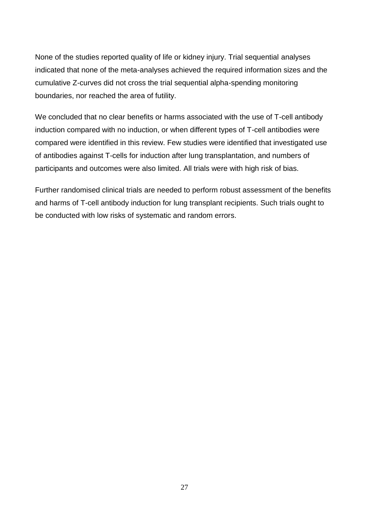None of the studies reported quality of life or kidney injury. Trial sequential analyses indicated that none of the meta-analyses achieved the required information sizes and the cumulative Z-curves did not cross the trial sequential alpha-spending monitoring boundaries, nor reached the area of futility.

We concluded that no clear benefits or harms associated with the use of T-cell antibody induction compared with no induction, or when different types of T-cell antibodies were compared were identified in this review. Few studies were identified that investigated use of antibodies against T-cells for induction after lung transplantation, and numbers of participants and outcomes were also limited. All trials were with high risk of bias.

Further randomised clinical trials are needed to perform robust assessment of the benefits and harms of T-cell antibody induction for lung transplant recipients. Such trials ought to be conducted with low risks of systematic and random errors.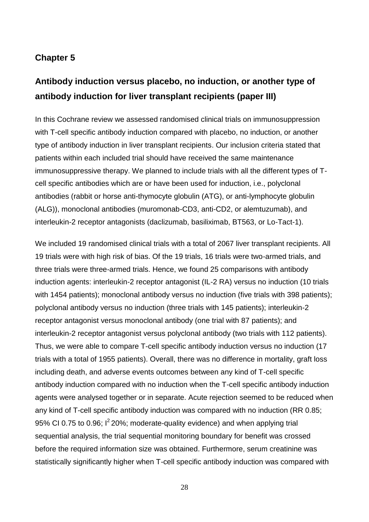# **Chapter 5**

# **Antibody induction versus placebo, no induction, or another type of antibody induction for liver transplant recipients (paper III)**

In this Cochrane review we assessed randomised clinical trials on immunosuppression with T-cell specific antibody induction compared with placebo, no induction, or another type of antibody induction in liver transplant recipients. Our inclusion criteria stated that patients within each included trial should have received the same maintenance immunosuppressive therapy. We planned to include trials with all the different types of Tcell specific antibodies which are or have been used for induction, i.e., polyclonal antibodies (rabbit or horse anti-thymocyte globulin (ATG), or anti-lymphocyte globulin (ALG)), monoclonal antibodies (muromonab-CD3, anti-CD2, or alemtuzumab), and interleukin-2 receptor antagonists (daclizumab, basiliximab, BT563, or Lo-Tact-1).

We included 19 randomised clinical trials with a total of 2067 liver transplant recipients. All 19 trials were with high risk of bias. Of the 19 trials, 16 trials were two-armed trials, and three trials were three-armed trials. Hence, we found 25 comparisons with antibody induction agents: interleukin-2 receptor antagonist (IL-2 RA) versus no induction (10 trials with 1454 patients); monoclonal antibody versus no induction (five trials with 398 patients); polyclonal antibody versus no induction (three trials with 145 patients); interleukin-2 receptor antagonist versus monoclonal antibody (one trial with 87 patients); and interleukin-2 receptor antagonist versus polyclonal antibody (two trials with 112 patients). Thus, we were able to compare T-cell specific antibody induction versus no induction (17 trials with a total of 1955 patients). Overall, there was no difference in mortality, graft loss including death, and adverse events outcomes between any kind of T-cell specific antibody induction compared with no induction when the T-cell specific antibody induction agents were analysed together or in separate. Acute rejection seemed to be reduced when any kind of T-cell specific antibody induction was compared with no induction (RR 0.85; 95% CI 0.75 to 0.96;  $I^2$  20%; moderate-quality evidence) and when applying trial sequential analysis, the trial sequential monitoring boundary for benefit was crossed before the required information size was obtained. Furthermore, serum creatinine was statistically significantly higher when T-cell specific antibody induction was compared with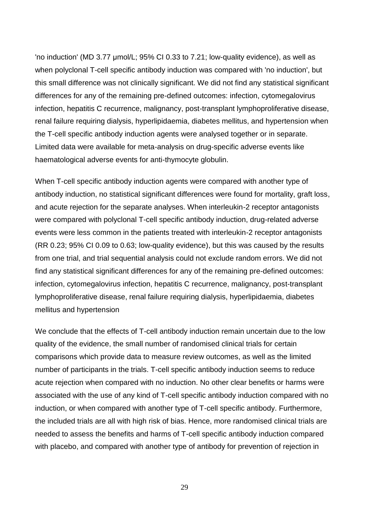'no induction' (MD 3.77 μmol/L; 95% CI 0.33 to 7.21; low-quality evidence), as well as when polyclonal T-cell specific antibody induction was compared with 'no induction', but this small difference was not clinically significant. We did not find any statistical significant differences for any of the remaining pre-defined outcomes: infection, cytomegalovirus infection, hepatitis C recurrence, malignancy, post-transplant lymphoproliferative disease, renal failure requiring dialysis, hyperlipidaemia, diabetes mellitus, and hypertension when the T-cell specific antibody induction agents were analysed together or in separate. Limited data were available for meta-analysis on drug-specific adverse events like haematological adverse events for anti-thymocyte globulin.

When T-cell specific antibody induction agents were compared with another type of antibody induction, no statistical significant differences were found for mortality, graft loss, and acute rejection for the separate analyses. When interleukin-2 receptor antagonists were compared with polyclonal T-cell specific antibody induction, drug-related adverse events were less common in the patients treated with interleukin-2 receptor antagonists (RR 0.23; 95% CI 0.09 to 0.63; low-quality evidence), but this was caused by the results from one trial, and trial sequential analysis could not exclude random errors. We did not find any statistical significant differences for any of the remaining pre-defined outcomes: infection, cytomegalovirus infection, hepatitis C recurrence, malignancy, post-transplant lymphoproliferative disease, renal failure requiring dialysis, hyperlipidaemia, diabetes mellitus and hypertension

We conclude that the effects of T-cell antibody induction remain uncertain due to the low quality of the evidence, the small number of randomised clinical trials for certain comparisons which provide data to measure review outcomes, as well as the limited number of participants in the trials. T-cell specific antibody induction seems to reduce acute rejection when compared with no induction. No other clear benefits or harms were associated with the use of any kind of T-cell specific antibody induction compared with no induction, or when compared with another type of T-cell specific antibody. Furthermore, the included trials are all with high risk of bias. Hence, more randomised clinical trials are needed to assess the benefits and harms of T-cell specific antibody induction compared with placebo, and compared with another type of antibody for prevention of rejection in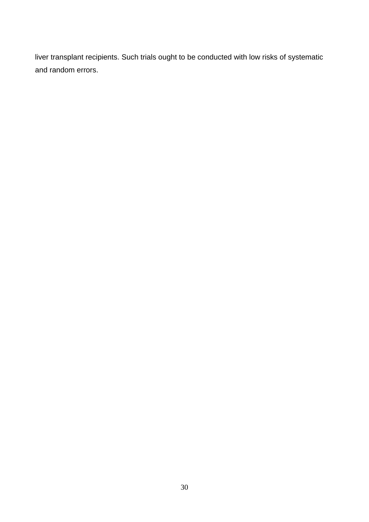liver transplant recipients. Such trials ought to be conducted with low risks of systematic and random errors.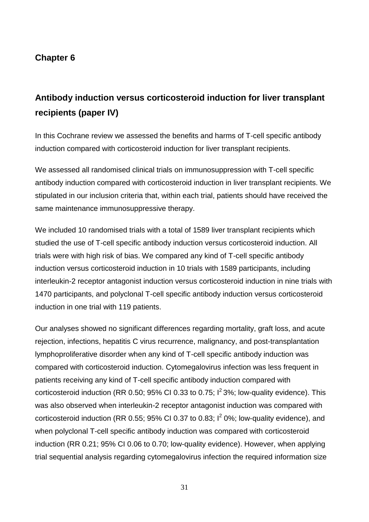# **Chapter 6**

# **Antibody induction versus corticosteroid induction for liver transplant recipients (paper IV)**

In this Cochrane review we assessed the benefits and harms of T-cell specific antibody induction compared with corticosteroid induction for liver transplant recipients.

We assessed all randomised clinical trials on immunosuppression with T-cell specific antibody induction compared with corticosteroid induction in liver transplant recipients. We stipulated in our inclusion criteria that, within each trial, patients should have received the same maintenance immunosuppressive therapy.

We included 10 randomised trials with a total of 1589 liver transplant recipients which studied the use of T-cell specific antibody induction versus corticosteroid induction. All trials were with high risk of bias. We compared any kind of T-cell specific antibody induction versus corticosteroid induction in 10 trials with 1589 participants, including interleukin-2 receptor antagonist induction versus corticosteroid induction in nine trials with 1470 participants, and polyclonal T-cell specific antibody induction versus corticosteroid induction in one trial with 119 patients.

Our analyses showed no significant differences regarding mortality, graft loss, and acute rejection, infections, hepatitis C virus recurrence, malignancy, and post-transplantation lymphoproliferative disorder when any kind of T-cell specific antibody induction was compared with corticosteroid induction. Cytomegalovirus infection was less frequent in patients receiving any kind of T-cell specific antibody induction compared with corticosteroid induction (RR 0.50; 95% CI 0.33 to 0.75;  $I^2$  3%; low-quality evidence). This was also observed when interleukin-2 receptor antagonist induction was compared with corticosteroid induction (RR 0.55; 95% CI 0.37 to 0.83;  $I^2$  0%; low-quality evidence), and when polyclonal T-cell specific antibody induction was compared with corticosteroid induction (RR 0.21; 95% CI 0.06 to 0.70; low-quality evidence). However, when applying trial sequential analysis regarding cytomegalovirus infection the required information size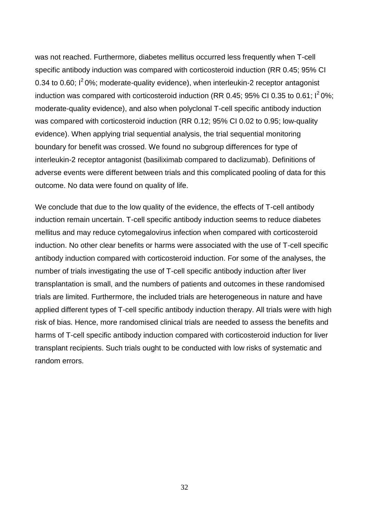was not reached. Furthermore, diabetes mellitus occurred less frequently when T-cell specific antibody induction was compared with corticosteroid induction (RR 0.45; 95% CI 0.34 to 0.60;  $I^2$  0%; moderate-quality evidence), when interleukin-2 receptor antagonist induction was compared with corticosteroid induction (RR 0.45; 95% CI 0.35 to 0.61;  $1^2$  0%; moderate-quality evidence), and also when polyclonal T-cell specific antibody induction was compared with corticosteroid induction (RR 0.12; 95% CI 0.02 to 0.95; low-quality evidence). When applying trial sequential analysis, the trial sequential monitoring boundary for benefit was crossed. We found no subgroup differences for type of interleukin-2 receptor antagonist (basiliximab compared to daclizumab). Definitions of adverse events were different between trials and this complicated pooling of data for this outcome. No data were found on quality of life.

We conclude that due to the low quality of the evidence, the effects of T-cell antibody induction remain uncertain. T-cell specific antibody induction seems to reduce diabetes mellitus and may reduce cytomegalovirus infection when compared with corticosteroid induction. No other clear benefits or harms were associated with the use of T-cell specific antibody induction compared with corticosteroid induction. For some of the analyses, the number of trials investigating the use of T-cell specific antibody induction after liver transplantation is small, and the numbers of patients and outcomes in these randomised trials are limited. Furthermore, the included trials are heterogeneous in nature and have applied different types of T-cell specific antibody induction therapy. All trials were with high risk of bias. Hence, more randomised clinical trials are needed to assess the benefits and harms of T-cell specific antibody induction compared with corticosteroid induction for liver transplant recipients. Such trials ought to be conducted with low risks of systematic and random errors.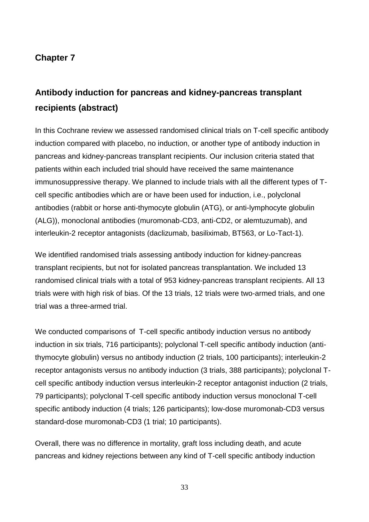# **Chapter 7**

# **Antibody induction for pancreas and kidney-pancreas transplant recipients (abstract)**

In this Cochrane review we assessed randomised clinical trials on T-cell specific antibody induction compared with placebo, no induction, or another type of antibody induction in pancreas and kidney-pancreas transplant recipients. Our inclusion criteria stated that patients within each included trial should have received the same maintenance immunosuppressive therapy. We planned to include trials with all the different types of Tcell specific antibodies which are or have been used for induction, i.e., polyclonal antibodies (rabbit or horse anti-thymocyte globulin (ATG), or anti-lymphocyte globulin (ALG)), monoclonal antibodies (muromonab-CD3, anti-CD2, or alemtuzumab), and interleukin-2 receptor antagonists (daclizumab, basiliximab, BT563, or Lo-Tact-1).

We identified randomised trials assessing antibody induction for kidney-pancreas transplant recipients, but not for isolated pancreas transplantation. We included 13 randomised clinical trials with a total of 953 kidney-pancreas transplant recipients. All 13 trials were with high risk of bias. Of the 13 trials, 12 trials were two-armed trials, and one trial was a three-armed trial.

We conducted comparisons of T-cell specific antibody induction versus no antibody induction in six trials, 716 participants); polyclonal T-cell specific antibody induction (antithymocyte globulin) versus no antibody induction (2 trials, 100 participants); interleukin-2 receptor antagonists versus no antibody induction (3 trials, 388 participants); polyclonal Tcell specific antibody induction versus interleukin-2 receptor antagonist induction (2 trials, 79 participants); polyclonal T-cell specific antibody induction versus monoclonal T-cell specific antibody induction (4 trials; 126 participants); low-dose muromonab-CD3 versus standard-dose muromonab-CD3 (1 trial; 10 participants).

Overall, there was no difference in mortality, graft loss including death, and acute pancreas and kidney rejections between any kind of T-cell specific antibody induction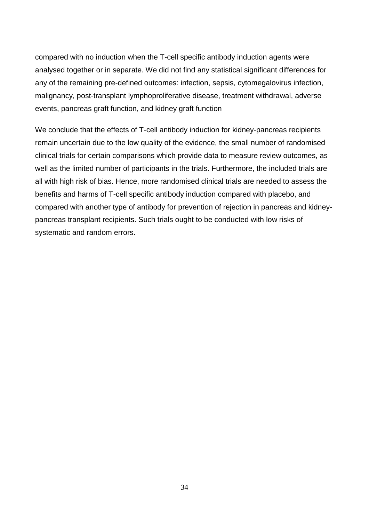compared with no induction when the T-cell specific antibody induction agents were analysed together or in separate. We did not find any statistical significant differences for any of the remaining pre-defined outcomes: infection, sepsis, cytomegalovirus infection, malignancy, post-transplant lymphoproliferative disease, treatment withdrawal, adverse events, pancreas graft function, and kidney graft function

We conclude that the effects of T-cell antibody induction for kidney-pancreas recipients remain uncertain due to the low quality of the evidence, the small number of randomised clinical trials for certain comparisons which provide data to measure review outcomes, as well as the limited number of participants in the trials. Furthermore, the included trials are all with high risk of bias. Hence, more randomised clinical trials are needed to assess the benefits and harms of T-cell specific antibody induction compared with placebo, and compared with another type of antibody for prevention of rejection in pancreas and kidneypancreas transplant recipients. Such trials ought to be conducted with low risks of systematic and random errors.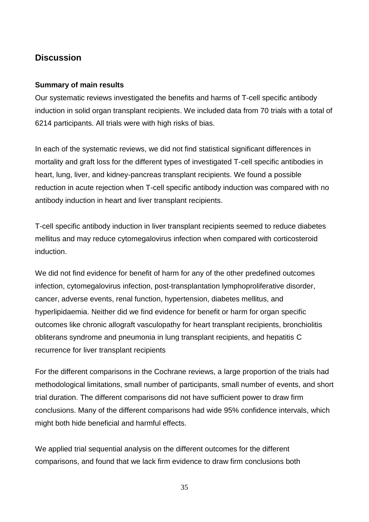# **Discussion**

## **Summary of main results**

Our systematic reviews investigated the benefits and harms of T-cell specific antibody induction in solid organ transplant recipients. We included data from 70 trials with a total of 6214 participants. All trials were with high risks of bias.

In each of the systematic reviews, we did not find statistical significant differences in mortality and graft loss for the different types of investigated T-cell specific antibodies in heart, lung, liver, and kidney-pancreas transplant recipients. We found a possible reduction in acute rejection when T-cell specific antibody induction was compared with no antibody induction in heart and liver transplant recipients.

T-cell specific antibody induction in liver transplant recipients seemed to reduce diabetes mellitus and may reduce cytomegalovirus infection when compared with corticosteroid induction.

We did not find evidence for benefit of harm for any of the other predefined outcomes infection, cytomegalovirus infection, post-transplantation lymphoproliferative disorder, cancer, adverse events, renal function, hypertension, diabetes mellitus, and hyperlipidaemia. Neither did we find evidence for benefit or harm for organ specific outcomes like chronic allograft vasculopathy for heart transplant recipients, bronchiolitis obliterans syndrome and pneumonia in lung transplant recipients, and hepatitis C recurrence for liver transplant recipients

For the different comparisons in the Cochrane reviews, a large proportion of the trials had methodological limitations, small number of participants, small number of events, and short trial duration. The different comparisons did not have sufficient power to draw firm conclusions. Many of the different comparisons had wide 95% confidence intervals, which might both hide beneficial and harmful effects.

We applied trial sequential analysis on the different outcomes for the different comparisons, and found that we lack firm evidence to draw firm conclusions both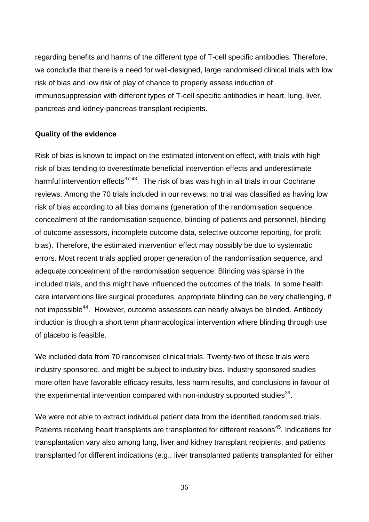regarding benefits and harms of the different type of T-cell specific antibodies. Therefore, we conclude that there is a need for well-designed, large randomised clinical trials with low risk of bias and low risk of play of chance to properly assess induction of immunosuppression with different types of T-cell specific antibodies in heart, lung, liver, pancreas and kidney-pancreas transplant recipients.

## **Quality of the evidence**

Risk of bias is known to impact on the estimated intervention effect, with trials with high risk of bias tending to overestimate beneficial intervention effects and underestimate harmful intervention effects<sup>37-43</sup>. The risk of bias was high in all trials in our Cochrane reviews. Among the 70 trials included in our reviews, no trial was classified as having low risk of bias according to all bias domains (generation of the randomisation sequence, concealment of the randomisation sequence, blinding of patients and personnel, blinding of outcome assessors, incomplete outcome data, selective outcome reporting, for profit bias). Therefore, the estimated intervention effect may possibly be due to systematic errors. Most recent trials applied proper generation of the randomisation sequence, and adequate concealment of the randomisation sequence. Blinding was sparse in the included trials, and this might have influenced the outcomes of the trials. In some health care interventions like surgical procedures, appropriate blinding can be very challenging, if not impossible<sup>44</sup>. However, outcome assessors can nearly always be blinded. Antibody induction is though a short term pharmacological intervention where blinding through use of placebo is feasible.

We included data from 70 randomised clinical trials. Twenty-two of these trials were industry sponsored, and might be subject to industry bias. Industry sponsored studies more often have favorable efficacy results, less harm results, and conclusions in favour of the experimental intervention compared with non-industry supported studies<sup>39</sup>.

We were not able to extract individual patient data from the identified randomised trials. Patients receiving heart transplants are transplanted for different reasons<sup>45</sup>. Indications for transplantation vary also among lung, liver and kidney transplant recipients, and patients transplanted for different indications (e.g., liver transplanted patients transplanted for either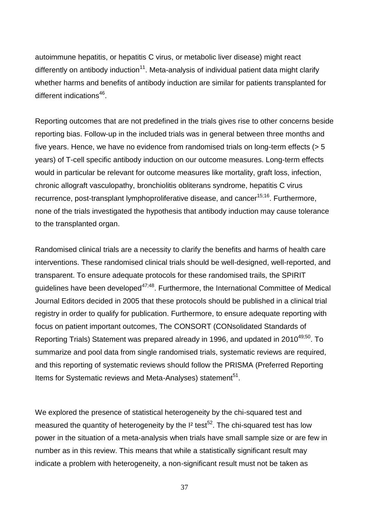autoimmune hepatitis, or hepatitis C virus, or metabolic liver disease) might react differently on antibody induction<sup>11</sup>. Meta-analysis of individual patient data might clarify whether harms and benefits of antibody induction are similar for patients transplanted for different indications<sup>46</sup>.

Reporting outcomes that are not predefined in the trials gives rise to other concerns beside reporting bias. Follow-up in the included trials was in general between three months and five years. Hence, we have no evidence from randomised trials on long-term effects (> 5 years) of T-cell specific antibody induction on our outcome measures. Long-term effects would in particular be relevant for outcome measures like mortality, graft loss, infection, chronic allograft vasculopathy, bronchiolitis obliterans syndrome, hepatitis C virus recurrence, post-transplant lymphoproliferative disease, and cancer<sup>15;16</sup>. Furthermore, none of the trials investigated the hypothesis that antibody induction may cause tolerance to the transplanted organ.

Randomised clinical trials are a necessity to clarify the benefits and harms of health care interventions. These randomised clinical trials should be well-designed, well-reported, and transparent. To ensure adequate protocols for these randomised trails, the SPIRIT guidelines have been developed<sup>47;48</sup>. Furthermore, the International Committee of Medical Journal Editors decided in 2005 that these protocols should be published in a clinical trial registry in order to qualify for publication. Furthermore, to ensure adequate reporting with focus on patient important outcomes, The CONSORT (CONsolidated Standards of Reporting Trials) Statement was prepared already in 1996, and updated in 2010<sup>49;50</sup>. To summarize and pool data from single randomised trials, systematic reviews are required, and this reporting of systematic reviews should follow the PRISMA (Preferred Reporting Items for Systematic reviews and Meta-Analyses) statement<sup>51</sup>.

We explored the presence of statistical heterogeneity by the chi-squared test and measured the quantity of heterogeneity by the  $I<sup>2</sup>$  test<sup>52</sup>. The chi-squared test has low power in the situation of a meta-analysis when trials have small sample size or are few in number as in this review. This means that while a statistically significant result may indicate a problem with heterogeneity, a non-significant result must not be taken as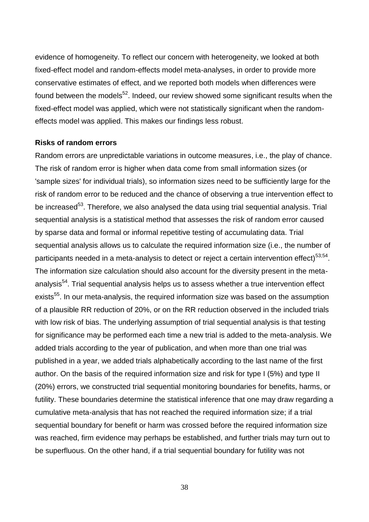evidence of homogeneity. To reflect our concern with heterogeneity, we looked at both fixed-effect model and random-effects model meta-analyses, in order to provide more conservative estimates of effect, and we reported both models when differences were found between the models<sup>52</sup>. Indeed, our review showed some significant results when the fixed-effect model was applied, which were not statistically significant when the randomeffects model was applied. This makes our findings less robust.

#### **Risks of random errors**

Random errors are unpredictable variations in outcome measures, i.e., the play of chance. The risk of random error is higher when data come from small information sizes (or 'sample sizes' for individual trials), so information sizes need to be sufficiently large for the risk of random error to be reduced and the chance of observing a true intervention effect to be increased<sup>53</sup>. Therefore, we also analysed the data using trial sequential analysis. Trial sequential analysis is a statistical method that assesses the risk of random error caused by sparse data and formal or informal repetitive testing of accumulating data. Trial sequential analysis allows us to calculate the required information size (i.e., the number of participants needed in a meta-analysis to detect or reject a certain intervention effect)<sup>53,54</sup>. The information size calculation should also account for the diversity present in the metaanalysis<sup>54</sup>. Trial sequential analysis helps us to assess whether a true intervention effect exists<sup>55</sup>. In our meta-analysis, the required information size was based on the assumption of a plausible RR reduction of 20%, or on the RR reduction observed in the included trials with low risk of bias. The underlying assumption of trial sequential analysis is that testing for significance may be performed each time a new trial is added to the meta-analysis. We added trials according to the year of publication, and when more than one trial was published in a year, we added trials alphabetically according to the last name of the first author. On the basis of the required information size and risk for type I (5%) and type II (20%) errors, we constructed trial sequential monitoring boundaries for benefits, harms, or futility. These boundaries determine the statistical inference that one may draw regarding a cumulative meta-analysis that has not reached the required information size; if a trial sequential boundary for benefit or harm was crossed before the required information size was reached, firm evidence may perhaps be established, and further trials may turn out to be superfluous. On the other hand, if a trial sequential boundary for futility was not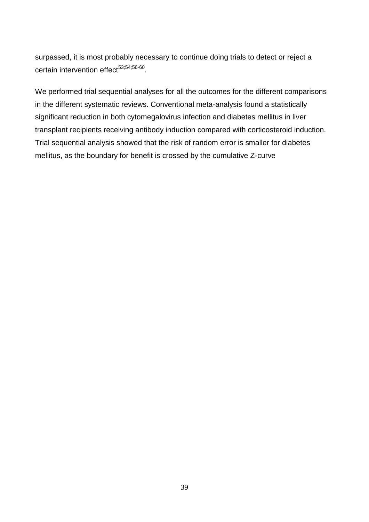surpassed, it is most probably necessary to continue doing trials to detect or reject a certain intervention effect<sup>53;54;56-60</sup>.

We performed trial sequential analyses for all the outcomes for the different comparisons in the different systematic reviews. Conventional meta-analysis found a statistically significant reduction in both cytomegalovirus infection and diabetes mellitus in liver transplant recipients receiving antibody induction compared with corticosteroid induction. Trial sequential analysis showed that the risk of random error is smaller for diabetes mellitus, as the boundary for benefit is crossed by the cumulative Z-curve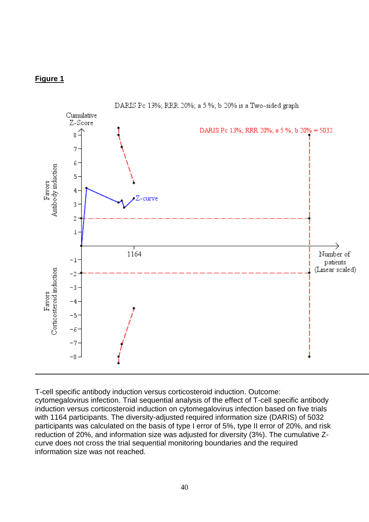## **Figure 1**



T-cell specific antibody induction versus corticosteroid induction. Outcome: cytomegalovirus infection. Trial sequential analysis of the effect of T-cell specific antibody induction versus corticosteroid induction on cytomegalovirus infection based on five trials with 1164 participants. The diversity-adjusted required information size (DARIS) of 5032 participants was calculated on the basis of type I error of 5%, type II error of 20%, and risk reduction of 20%, and information size was adjusted for diversity (3%). The cumulative Zcurve does not cross the trial sequential monitoring boundaries and the required information size was not reached.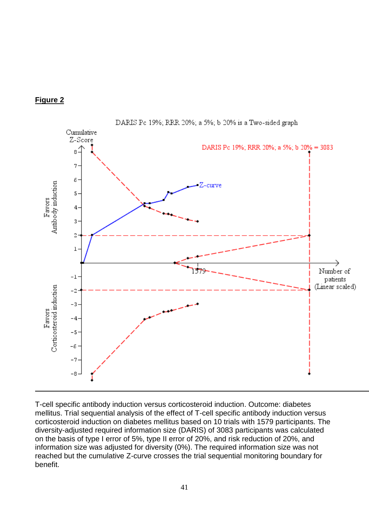



DARIS Pc 19%; RRR 20%; a 5%; b 20% is a Two-sided graph

T-cell specific antibody induction versus corticosteroid induction. Outcome: diabetes mellitus. Trial sequential analysis of the effect of T-cell specific antibody induction versus corticosteroid induction on diabetes mellitus based on 10 trials with 1579 participants. The diversity-adjusted required information size (DARIS) of 3083 participants was calculated on the basis of type I error of 5%, type II error of 20%, and risk reduction of 20%, and information size was adjusted for diversity (0%). The required information size was not reached but the cumulative Z-curve crosses the trial sequential monitoring boundary for benefit.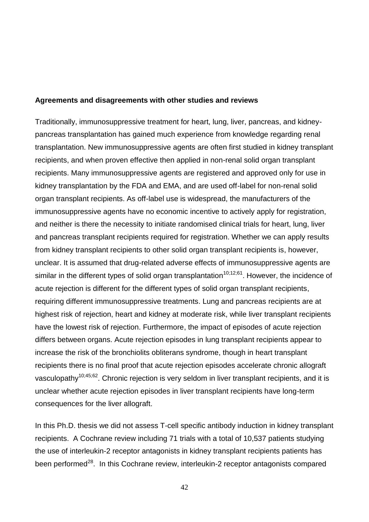#### **Agreements and disagreements with other studies and reviews**

Traditionally, immunosuppressive treatment for heart, lung, liver, pancreas, and kidneypancreas transplantation has gained much experience from knowledge regarding renal transplantation. New immunosuppressive agents are often first studied in kidney transplant recipients, and when proven effective then applied in non-renal solid organ transplant recipients. Many immunosuppressive agents are registered and approved only for use in kidney transplantation by the FDA and EMA, and are used off-label for non-renal solid organ transplant recipients. As off-label use is widespread, the manufacturers of the immunosuppressive agents have no economic incentive to actively apply for registration, and neither is there the necessity to initiate randomised clinical trials for heart, lung, liver and pancreas transplant recipients required for registration. Whether we can apply results from kidney transplant recipients to other solid organ transplant recipients is, however, unclear. It is assumed that drug-related adverse effects of immunosuppressive agents are similar in the different types of solid organ transplantation<sup>10;12;61</sup>. However, the incidence of acute rejection is different for the different types of solid organ transplant recipients, requiring different immunosuppressive treatments. Lung and pancreas recipients are at highest risk of rejection, heart and kidney at moderate risk, while liver transplant recipients have the lowest risk of rejection. Furthermore, the impact of episodes of acute rejection differs between organs. Acute rejection episodes in lung transplant recipients appear to increase the risk of the bronchiolits obliterans syndrome, though in heart transplant recipients there is no final proof that acute rejection episodes accelerate chronic allograft vasculopathy<sup>10;45;62</sup>. Chronic rejection is very seldom in liver transplant recipients, and it is unclear whether acute rejection episodes in liver transplant recipients have long-term consequences for the liver allograft.

In this Ph.D. thesis we did not assess T-cell specific antibody induction in kidney transplant recipients. A Cochrane review including 71 trials with a total of 10,537 patients studying the use of interleukin-2 receptor antagonists in kidney transplant recipients patients has been performed<sup>28</sup>. In this Cochrane review, interleukin-2 receptor antagonists compared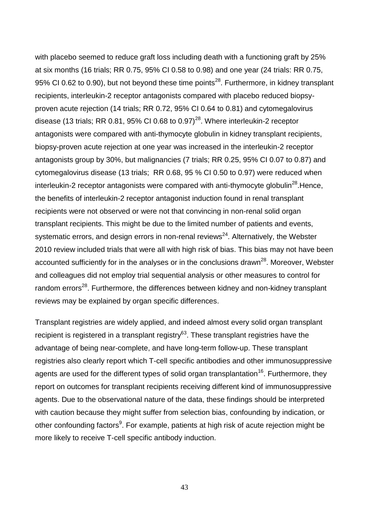with placebo seemed to reduce graft loss including death with a functioning graft by 25% at six months (16 trials; RR 0.75, 95% CI 0.58 to 0.98) and one year (24 trials: RR 0.75, 95% CI 0.62 to 0.90), but not beyond these time points<sup>28</sup>. Furthermore, in kidney transplant recipients, interleukin-2 receptor antagonists compared with placebo reduced biopsyproven acute rejection (14 trials; RR 0.72, 95% CI 0.64 to 0.81) and cytomegalovirus disease (13 trials; RR 0.81, 95% CI 0.68 to 0.97)<sup>28</sup>. Where interleukin-2 receptor antagonists were compared with anti-thymocyte globulin in kidney transplant recipients, biopsy-proven acute rejection at one year was increased in the interleukin-2 receptor antagonists group by 30%, but malignancies (7 trials; RR 0.25, 95% CI 0.07 to 0.87) and cytomegalovirus disease (13 trials; RR 0.68, 95 % CI 0.50 to 0.97) were reduced when interleukin-2 receptor antagonists were compared with anti-thymocyte globulin<sup>28</sup>. Hence, the benefits of interleukin-2 receptor antagonist induction found in renal transplant recipients were not observed or were not that convincing in non-renal solid organ transplant recipients. This might be due to the limited number of patients and events, systematic errors, and design errors in non-renal reviews<sup>24</sup>. Alternatively, the Webster 2010 review included trials that were all with high risk of bias. This bias may not have been accounted sufficiently for in the analyses or in the conclusions drawn<sup>28</sup>. Moreover, Webster and colleagues did not employ trial sequential analysis or other measures to control for random errors<sup>28</sup>. Furthermore, the differences between kidney and non-kidney transplant reviews may be explained by organ specific differences.

Transplant registries are widely applied, and indeed almost every solid organ transplant recipient is registered in a transplant registry $^{63}$ . These transplant registries have the advantage of being near-complete, and have long-term follow-up. These transplant registries also clearly report which T-cell specific antibodies and other immunosuppressive agents are used for the different types of solid organ transplantation<sup>16</sup>. Furthermore, they report on outcomes for transplant recipients receiving different kind of immunosuppressive agents. Due to the observational nature of the data, these findings should be interpreted with caution because they might suffer from selection bias, confounding by indication, or other confounding factors<sup>9</sup>. For example, patients at high risk of acute rejection might be more likely to receive T-cell specific antibody induction.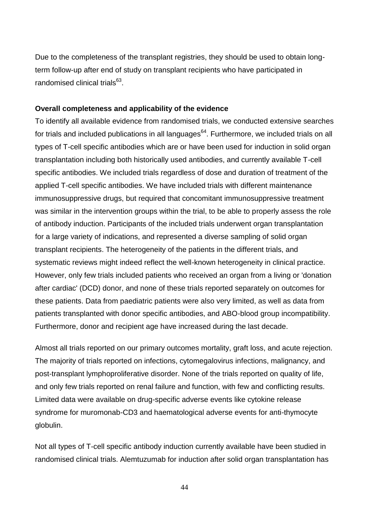Due to the completeness of the transplant registries, they should be used to obtain longterm follow-up after end of study on transplant recipients who have participated in randomised clinical trials<sup>63</sup>.

## **Overall completeness and applicability of the evidence**

To identify all available evidence from randomised trials, we conducted extensive searches for trials and included publications in all languages<sup>64</sup>. Furthermore, we included trials on all types of T-cell specific antibodies which are or have been used for induction in solid organ transplantation including both historically used antibodies, and currently available T-cell specific antibodies. We included trials regardless of dose and duration of treatment of the applied T-cell specific antibodies. We have included trials with different maintenance immunosuppressive drugs, but required that concomitant immunosuppressive treatment was similar in the intervention groups within the trial, to be able to properly assess the role of antibody induction. Participants of the included trials underwent organ transplantation for a large variety of indications, and represented a diverse sampling of solid organ transplant recipients. The heterogeneity of the patients in the different trials, and systematic reviews might indeed reflect the well-known heterogeneity in clinical practice. However, only few trials included patients who received an organ from a living or 'donation after cardiac' (DCD) donor, and none of these trials reported separately on outcomes for these patients. Data from paediatric patients were also very limited, as well as data from patients transplanted with donor specific antibodies, and ABO-blood group incompatibility. Furthermore, donor and recipient age have increased during the last decade.

Almost all trials reported on our primary outcomes mortality, graft loss, and acute rejection. The majority of trials reported on infections, cytomegalovirus infections, malignancy, and post-transplant lymphoproliferative disorder. None of the trials reported on quality of life, and only few trials reported on renal failure and function, with few and conflicting results. Limited data were available on drug-specific adverse events like cytokine release syndrome for muromonab-CD3 and haematological adverse events for anti-thymocyte globulin.

Not all types of T-cell specific antibody induction currently available have been studied in randomised clinical trials. Alemtuzumab for induction after solid organ transplantation has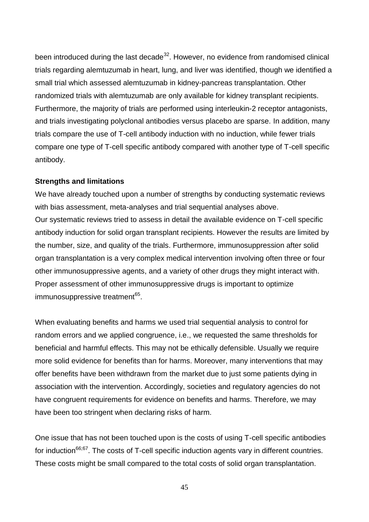been introduced during the last decade<sup>32</sup>. However, no evidence from randomised clinical trials regarding alemtuzumab in heart, lung, and liver was identified, though we identified a small trial which assessed alemtuzumab in kidney-pancreas transplantation. Other randomized trials with alemtuzumab are only available for kidney transplant recipients. Furthermore, the majority of trials are performed using interleukin-2 receptor antagonists, and trials investigating polyclonal antibodies versus placebo are sparse. In addition, many trials compare the use of T-cell antibody induction with no induction, while fewer trials compare one type of T-cell specific antibody compared with another type of T-cell specific antibody.

#### **Strengths and limitations**

We have already touched upon a number of strengths by conducting systematic reviews with bias assessment, meta-analyses and trial sequential analyses above. Our systematic reviews tried to assess in detail the available evidence on T-cell specific antibody induction for solid organ transplant recipients. However the results are limited by the number, size, and quality of the trials. Furthermore, immunosuppression after solid organ transplantation is a very complex medical intervention involving often three or four other immunosuppressive agents, and a variety of other drugs they might interact with. Proper assessment of other immunosuppressive drugs is important to optimize immunosuppressive treatment<sup>65</sup>.

When evaluating benefits and harms we used trial sequential analysis to control for random errors and we applied congruence, i.e., we requested the same thresholds for beneficial and harmful effects. This may not be ethically defensible. Usually we require more solid evidence for benefits than for harms. Moreover, many interventions that may offer benefits have been withdrawn from the market due to just some patients dying in association with the intervention. Accordingly, societies and regulatory agencies do not have congruent requirements for evidence on benefits and harms. Therefore, we may have been too stringent when declaring risks of harm.

One issue that has not been touched upon is the costs of using T-cell specific antibodies for induction<sup>66;67</sup>. The costs of T-cell specific induction agents vary in different countries. These costs might be small compared to the total costs of solid organ transplantation.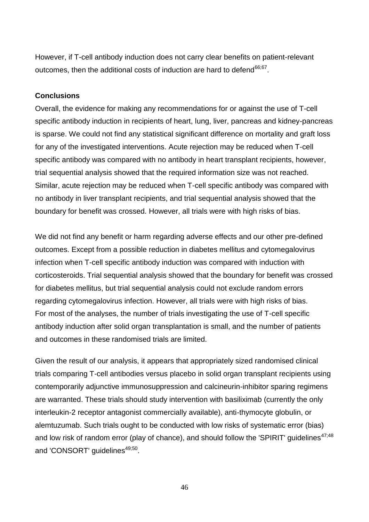However, if T-cell antibody induction does not carry clear benefits on patient-relevant outcomes, then the additional costs of induction are hard to defend<sup>66;67</sup>.

#### **Conclusions**

Overall, the evidence for making any recommendations for or against the use of T-cell specific antibody induction in recipients of heart, lung, liver, pancreas and kidney-pancreas is sparse. We could not find any statistical significant difference on mortality and graft loss for any of the investigated interventions. Acute rejection may be reduced when T-cell specific antibody was compared with no antibody in heart transplant recipients, however, trial sequential analysis showed that the required information size was not reached. Similar, acute rejection may be reduced when T-cell specific antibody was compared with no antibody in liver transplant recipients, and trial sequential analysis showed that the boundary for benefit was crossed. However, all trials were with high risks of bias.

We did not find any benefit or harm regarding adverse effects and our other pre-defined outcomes. Except from a possible reduction in diabetes mellitus and cytomegalovirus infection when T-cell specific antibody induction was compared with induction with corticosteroids. Trial sequential analysis showed that the boundary for benefit was crossed for diabetes mellitus, but trial sequential analysis could not exclude random errors regarding cytomegalovirus infection. However, all trials were with high risks of bias. For most of the analyses, the number of trials investigating the use of T-cell specific antibody induction after solid organ transplantation is small, and the number of patients and outcomes in these randomised trials are limited.

Given the result of our analysis, it appears that appropriately sized randomised clinical trials comparing T-cell antibodies versus placebo in solid organ transplant recipients using contemporarily adjunctive immunosuppression and calcineurin-inhibitor sparing regimens are warranted. These trials should study intervention with basiliximab (currently the only interleukin-2 receptor antagonist commercially available), anti-thymocyte globulin, or alemtuzumab. Such trials ought to be conducted with low risks of systematic error (bias) and low risk of random error (play of chance), and should follow the 'SPIRIT' guidelines $47;48$ and 'CONSORT' guidelines<sup>49,50</sup>.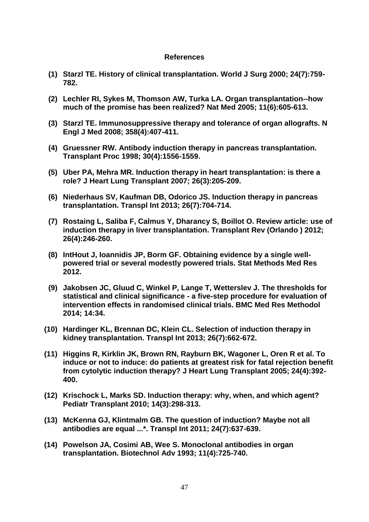#### **References**

- **(1) Starzl TE. History of clinical transplantation. World J Surg 2000; 24(7):759- 782.**
- **(2) Lechler RI, Sykes M, Thomson AW, Turka LA. Organ transplantation--how much of the promise has been realized? Nat Med 2005; 11(6):605-613.**
- **(3) Starzl TE. Immunosuppressive therapy and tolerance of organ allografts. N Engl J Med 2008; 358(4):407-411.**
- **(4) Gruessner RW. Antibody induction therapy in pancreas transplantation. Transplant Proc 1998; 30(4):1556-1559.**
- **(5) Uber PA, Mehra MR. Induction therapy in heart transplantation: is there a role? J Heart Lung Transplant 2007; 26(3):205-209.**
- **(6) Niederhaus SV, Kaufman DB, Odorico JS. Induction therapy in pancreas transplantation. Transpl Int 2013; 26(7):704-714.**
- **(7) Rostaing L, Saliba F, Calmus Y, Dharancy S, Boillot O. Review article: use of induction therapy in liver transplantation. Transplant Rev (Orlando ) 2012; 26(4):246-260.**
- **(8) IntHout J, Ioannidis JP, Borm GF. Obtaining evidence by a single wellpowered trial or several modestly powered trials. Stat Methods Med Res 2012.**
- **(9) Jakobsen JC, Gluud C, Winkel P, Lange T, Wetterslev J. The thresholds for statistical and clinical significance - a five-step procedure for evaluation of intervention effects in randomised clinical trials. BMC Med Res Methodol 2014; 14:34.**
- **(10) Hardinger KL, Brennan DC, Klein CL. Selection of induction therapy in kidney transplantation. Transpl Int 2013; 26(7):662-672.**
- **(11) Higgins R, Kirklin JK, Brown RN, Rayburn BK, Wagoner L, Oren R et al. To induce or not to induce: do patients at greatest risk for fatal rejection benefit from cytolytic induction therapy? J Heart Lung Transplant 2005; 24(4):392- 400.**
- **(12) Krischock L, Marks SD. Induction therapy: why, when, and which agent? Pediatr Transplant 2010; 14(3):298-313.**
- **(13) McKenna GJ, Klintmalm GB. The question of induction? Maybe not all antibodies are equal ...\*. Transpl Int 2011; 24(7):637-639.**
- **(14) Powelson JA, Cosimi AB, Wee S. Monoclonal antibodies in organ transplantation. Biotechnol Adv 1993; 11(4):725-740.**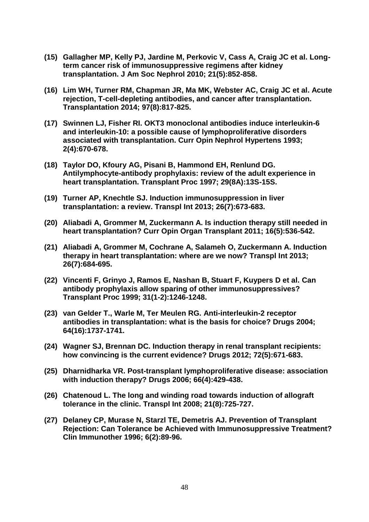- **(15) Gallagher MP, Kelly PJ, Jardine M, Perkovic V, Cass A, Craig JC et al. Longterm cancer risk of immunosuppressive regimens after kidney transplantation. J Am Soc Nephrol 2010; 21(5):852-858.**
- **(16) Lim WH, Turner RM, Chapman JR, Ma MK, Webster AC, Craig JC et al. Acute rejection, T-cell-depleting antibodies, and cancer after transplantation. Transplantation 2014; 97(8):817-825.**
- **(17) Swinnen LJ, Fisher RI. OKT3 monoclonal antibodies induce interleukin-6 and interleukin-10: a possible cause of lymphoproliferative disorders associated with transplantation. Curr Opin Nephrol Hypertens 1993; 2(4):670-678.**
- **(18) Taylor DO, Kfoury AG, Pisani B, Hammond EH, Renlund DG. Antilymphocyte-antibody prophylaxis: review of the adult experience in heart transplantation. Transplant Proc 1997; 29(8A):13S-15S.**
- **(19) Turner AP, Knechtle SJ. Induction immunosuppression in liver transplantation: a review. Transpl Int 2013; 26(7):673-683.**
- **(20) Aliabadi A, Grommer M, Zuckermann A. Is induction therapy still needed in heart transplantation? Curr Opin Organ Transplant 2011; 16(5):536-542.**
- **(21) Aliabadi A, Grommer M, Cochrane A, Salameh O, Zuckermann A. Induction therapy in heart transplantation: where are we now? Transpl Int 2013; 26(7):684-695.**
- **(22) Vincenti F, Grinyo J, Ramos E, Nashan B, Stuart F, Kuypers D et al. Can antibody prophylaxis allow sparing of other immunosuppressives? Transplant Proc 1999; 31(1-2):1246-1248.**
- **(23) van Gelder T., Warle M, Ter Meulen RG. Anti-interleukin-2 receptor antibodies in transplantation: what is the basis for choice? Drugs 2004; 64(16):1737-1741.**
- **(24) Wagner SJ, Brennan DC. Induction therapy in renal transplant recipients: how convincing is the current evidence? Drugs 2012; 72(5):671-683.**
- **(25) Dharnidharka VR. Post-transplant lymphoproliferative disease: association with induction therapy? Drugs 2006; 66(4):429-438.**
- **(26) Chatenoud L. The long and winding road towards induction of allograft tolerance in the clinic. Transpl Int 2008; 21(8):725-727.**
- **(27) Delaney CP, Murase N, Starzl TE, Demetris AJ. Prevention of Transplant Rejection: Can Tolerance be Achieved with Immunosuppressive Treatment? Clin Immunother 1996; 6(2):89-96.**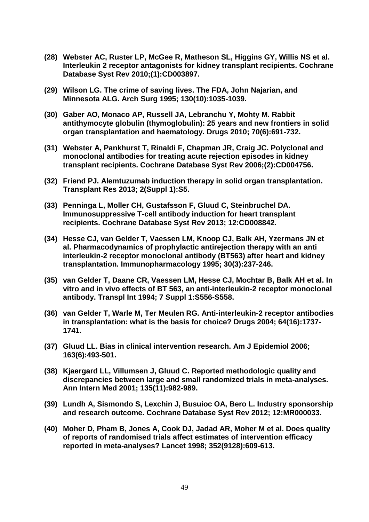- **(28) Webster AC, Ruster LP, McGee R, Matheson SL, Higgins GY, Willis NS et al. Interleukin 2 receptor antagonists for kidney transplant recipients. Cochrane Database Syst Rev 2010;(1):CD003897.**
- **(29) Wilson LG. The crime of saving lives. The FDA, John Najarian, and Minnesota ALG. Arch Surg 1995; 130(10):1035-1039.**
- **(30) Gaber AO, Monaco AP, Russell JA, Lebranchu Y, Mohty M. Rabbit antithymocyte globulin (thymoglobulin): 25 years and new frontiers in solid organ transplantation and haematology. Drugs 2010; 70(6):691-732.**
- **(31) Webster A, Pankhurst T, Rinaldi F, Chapman JR, Craig JC. Polyclonal and monoclonal antibodies for treating acute rejection episodes in kidney transplant recipients. Cochrane Database Syst Rev 2006;(2):CD004756.**
- **(32) Friend PJ. Alemtuzumab induction therapy in solid organ transplantation. Transplant Res 2013; 2(Suppl 1):S5.**
- **(33) Penninga L, Moller CH, Gustafsson F, Gluud C, Steinbruchel DA. Immunosuppressive T-cell antibody induction for heart transplant recipients. Cochrane Database Syst Rev 2013; 12:CD008842.**
- **(34) Hesse CJ, van Gelder T, Vaessen LM, Knoop CJ, Balk AH, Yzermans JN et al. Pharmacodynamics of prophylactic antirejection therapy with an anti interleukin-2 receptor monoclonal antibody (BT563) after heart and kidney transplantation. Immunopharmacology 1995; 30(3):237-246.**
- **(35) van Gelder T, Daane CR, Vaessen LM, Hesse CJ, Mochtar B, Balk AH et al. In vitro and in vivo effects of BT 563, an anti-interleukin-2 receptor monoclonal antibody. Transpl Int 1994; 7 Suppl 1:S556-S558.**
- **(36) van Gelder T, Warle M, Ter Meulen RG. Anti-interleukin-2 receptor antibodies in transplantation: what is the basis for choice? Drugs 2004; 64(16):1737- 1741.**
- **(37) Gluud LL. Bias in clinical intervention research. Am J Epidemiol 2006; 163(6):493-501.**
- **(38) Kjaergard LL, Villumsen J, Gluud C. Reported methodologic quality and discrepancies between large and small randomized trials in meta-analyses. Ann Intern Med 2001; 135(11):982-989.**
- **(39) Lundh A, Sismondo S, Lexchin J, Busuioc OA, Bero L. Industry sponsorship and research outcome. Cochrane Database Syst Rev 2012; 12:MR000033.**
- **(40) Moher D, Pham B, Jones A, Cook DJ, Jadad AR, Moher M et al. Does quality of reports of randomised trials affect estimates of intervention efficacy reported in meta-analyses? Lancet 1998; 352(9128):609-613.**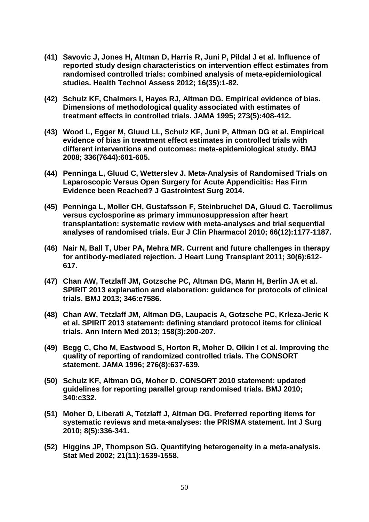- **(41) Savovic J, Jones H, Altman D, Harris R, Juni P, Pildal J et al. Influence of reported study design characteristics on intervention effect estimates from randomised controlled trials: combined analysis of meta-epidemiological studies. Health Technol Assess 2012; 16(35):1-82.**
- **(42) Schulz KF, Chalmers I, Hayes RJ, Altman DG. Empirical evidence of bias. Dimensions of methodological quality associated with estimates of treatment effects in controlled trials. JAMA 1995; 273(5):408-412.**
- **(43) Wood L, Egger M, Gluud LL, Schulz KF, Juni P, Altman DG et al. Empirical evidence of bias in treatment effect estimates in controlled trials with different interventions and outcomes: meta-epidemiological study. BMJ 2008; 336(7644):601-605.**
- **(44) Penninga L, Gluud C, Wetterslev J. Meta-Analysis of Randomised Trials on Laparoscopic Versus Open Surgery for Acute Appendicitis: Has Firm Evidence been Reached? J Gastrointest Surg 2014.**
- **(45) Penninga L, Moller CH, Gustafsson F, Steinbruchel DA, Gluud C. Tacrolimus versus cyclosporine as primary immunosuppression after heart transplantation: systematic review with meta-analyses and trial sequential analyses of randomised trials. Eur J Clin Pharmacol 2010; 66(12):1177-1187.**
- **(46) Nair N, Ball T, Uber PA, Mehra MR. Current and future challenges in therapy for antibody-mediated rejection. J Heart Lung Transplant 2011; 30(6):612- 617.**
- **(47) Chan AW, Tetzlaff JM, Gotzsche PC, Altman DG, Mann H, Berlin JA et al. SPIRIT 2013 explanation and elaboration: guidance for protocols of clinical trials. BMJ 2013; 346:e7586.**
- **(48) Chan AW, Tetzlaff JM, Altman DG, Laupacis A, Gotzsche PC, Krleza-Jeric K et al. SPIRIT 2013 statement: defining standard protocol items for clinical trials. Ann Intern Med 2013; 158(3):200-207.**
- **(49) Begg C, Cho M, Eastwood S, Horton R, Moher D, Olkin I et al. Improving the quality of reporting of randomized controlled trials. The CONSORT statement. JAMA 1996; 276(8):637-639.**
- **(50) Schulz KF, Altman DG, Moher D. CONSORT 2010 statement: updated guidelines for reporting parallel group randomised trials. BMJ 2010; 340:c332.**
- **(51) Moher D, Liberati A, Tetzlaff J, Altman DG. Preferred reporting items for systematic reviews and meta-analyses: the PRISMA statement. Int J Surg 2010; 8(5):336-341.**
- **(52) Higgins JP, Thompson SG. Quantifying heterogeneity in a meta-analysis. Stat Med 2002; 21(11):1539-1558.**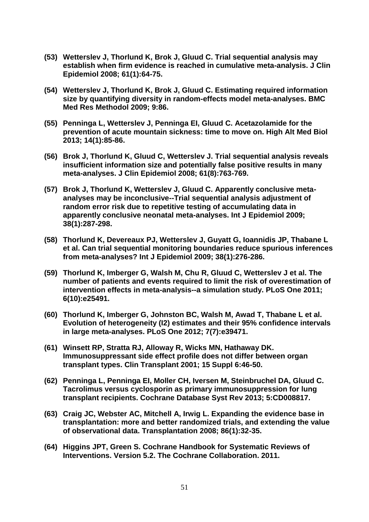- **(53) Wetterslev J, Thorlund K, Brok J, Gluud C. Trial sequential analysis may establish when firm evidence is reached in cumulative meta-analysis. J Clin Epidemiol 2008; 61(1):64-75.**
- **(54) Wetterslev J, Thorlund K, Brok J, Gluud C. Estimating required information size by quantifying diversity in random-effects model meta-analyses. BMC Med Res Methodol 2009; 9:86.**
- **(55) Penninga L, Wetterslev J, Penninga EI, Gluud C. Acetazolamide for the prevention of acute mountain sickness: time to move on. High Alt Med Biol 2013; 14(1):85-86.**
- **(56) Brok J, Thorlund K, Gluud C, Wetterslev J. Trial sequential analysis reveals insufficient information size and potentially false positive results in many meta-analyses. J Clin Epidemiol 2008; 61(8):763-769.**
- **(57) Brok J, Thorlund K, Wetterslev J, Gluud C. Apparently conclusive metaanalyses may be inconclusive--Trial sequential analysis adjustment of random error risk due to repetitive testing of accumulating data in apparently conclusive neonatal meta-analyses. Int J Epidemiol 2009; 38(1):287-298.**
- **(58) Thorlund K, Devereaux PJ, Wetterslev J, Guyatt G, Ioannidis JP, Thabane L et al. Can trial sequential monitoring boundaries reduce spurious inferences from meta-analyses? Int J Epidemiol 2009; 38(1):276-286.**
- **(59) Thorlund K, Imberger G, Walsh M, Chu R, Gluud C, Wetterslev J et al. The number of patients and events required to limit the risk of overestimation of intervention effects in meta-analysis--a simulation study. PLoS One 2011; 6(10):e25491.**
- **(60) Thorlund K, Imberger G, Johnston BC, Walsh M, Awad T, Thabane L et al. Evolution of heterogeneity (I2) estimates and their 95% confidence intervals in large meta-analyses. PLoS One 2012; 7(7):e39471.**
- **(61) Winsett RP, Stratta RJ, Alloway R, Wicks MN, Hathaway DK. Immunosuppressant side effect profile does not differ between organ transplant types. Clin Transplant 2001; 15 Suppl 6:46-50.**
- **(62) Penninga L, Penninga EI, Moller CH, Iversen M, Steinbruchel DA, Gluud C. Tacrolimus versus cyclosporin as primary immunosuppression for lung transplant recipients. Cochrane Database Syst Rev 2013; 5:CD008817.**
- **(63) Craig JC, Webster AC, Mitchell A, Irwig L. Expanding the evidence base in transplantation: more and better randomized trials, and extending the value of observational data. Transplantation 2008; 86(1):32-35.**
- **(64) Higgins JPT, Green S. Cochrane Handbook for Systematic Reviews of Interventions. Version 5.2. The Cochrane Collaboration. 2011.**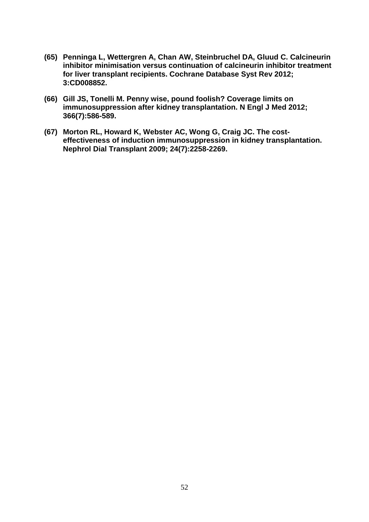- **(65) Penninga L, Wettergren A, Chan AW, Steinbruchel DA, Gluud C. Calcineurin inhibitor minimisation versus continuation of calcineurin inhibitor treatment for liver transplant recipients. Cochrane Database Syst Rev 2012; 3:CD008852.**
- **(66) Gill JS, Tonelli M. Penny wise, pound foolish? Coverage limits on immunosuppression after kidney transplantation. N Engl J Med 2012; 366(7):586-589.**
- **(67) Morton RL, Howard K, Webster AC, Wong G, Craig JC. The costeffectiveness of induction immunosuppression in kidney transplantation. Nephrol Dial Transplant 2009; 24(7):2258-2269.**